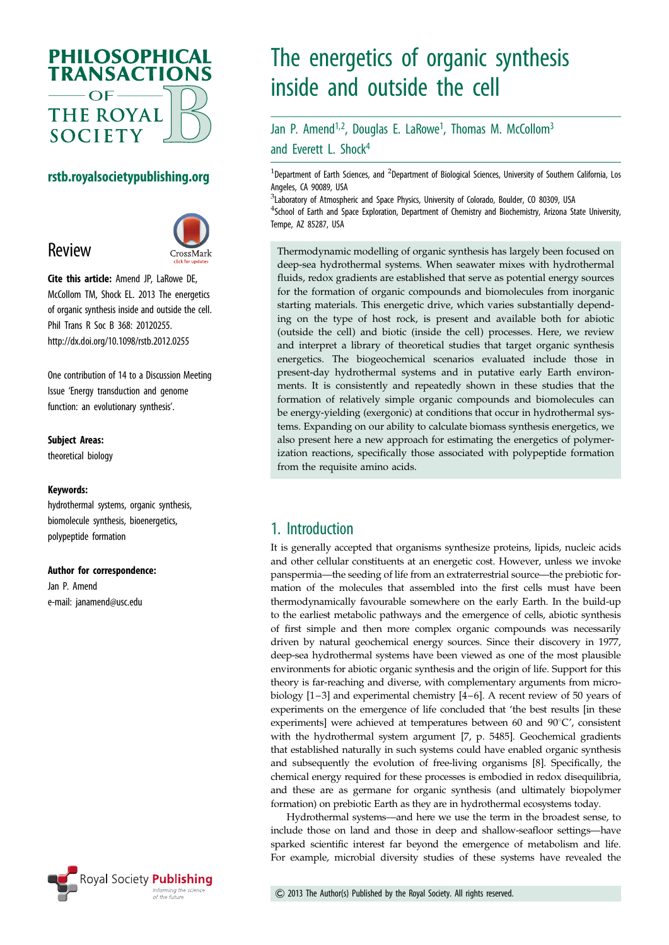

## rstb.royalsocietypublishing.org

## Review



Cite this article: Amend JP, LaRowe DE, McCollom TM, Shock EL. 2013 The energetics of organic synthesis inside and outside the cell. Phil Trans R Soc B 368: 20120255. http://dx.doi.org/10.1098/rstb.2012.0255

One contribution of 14 to a Discussion Meeting Issue 'Energy transduction and genome function: an evolutionary synthesis'.

#### Subject Areas:

theoretical biology

#### Keywords:

hydrothermal systems, organic synthesis, biomolecule synthesis, bioenergetics, polypeptide formation

#### Author for correspondence:

Jan P. Amend e-mail: [janamend@usc.edu](mailto:janamend@usc.edu)



# The energetics of organic synthesis inside and outside the cell

Jan P. Amend<sup>1,2</sup>, Douglas E. LaRowe<sup>1</sup>, Thomas M. McCollom<sup>3</sup> and Everett L. Shock<sup>4</sup>

<sup>1</sup>Department of Earth Sciences, and <sup>2</sup>Department of Biological Sciences, University of Southern California, Los Angeles, CA 90089, USA

<sup>3</sup>Laboratory of Atmospheric and Space Physics, University of Colorado, Boulder, CO 80309, USA

<sup>4</sup>School of Earth and Space Exploration, Department of Chemistry and Biochemistry, Arizona State University, Tempe, AZ 85287, USA

Thermodynamic modelling of organic synthesis has largely been focused on deep-sea hydrothermal systems. When seawater mixes with hydrothermal fluids, redox gradients are established that serve as potential energy sources for the formation of organic compounds and biomolecules from inorganic starting materials. This energetic drive, which varies substantially depending on the type of host rock, is present and available both for abiotic (outside the cell) and biotic (inside the cell) processes. Here, we review and interpret a library of theoretical studies that target organic synthesis energetics. The biogeochemical scenarios evaluated include those in present-day hydrothermal systems and in putative early Earth environments. It is consistently and repeatedly shown in these studies that the formation of relatively simple organic compounds and biomolecules can be energy-yielding (exergonic) at conditions that occur in hydrothermal systems. Expanding on our ability to calculate biomass synthesis energetics, we also present here a new approach for estimating the energetics of polymerization reactions, specifically those associated with polypeptide formation from the requisite amino acids.

## 1. Introduction

It is generally accepted that organisms synthesize proteins, lipids, nucleic acids and other cellular constituents at an energetic cost. However, unless we invoke panspermia—the seeding of life from an extraterrestrial source—the prebiotic formation of the molecules that assembled into the first cells must have been thermodynamically favourable somewhere on the early Earth. In the build-up to the earliest metabolic pathways and the emergence of cells, abiotic synthesis of first simple and then more complex organic compounds was necessarily driven by natural geochemical energy sources. Since their discovery in 1977, deep-sea hydrothermal systems have been viewed as one of the most plausible environments for abiotic organic synthesis and the origin of life. Support for this theory is far-reaching and diverse, with complementary arguments from microbiology [[1](#page-10-0)–[3\]](#page-10-0) and experimental chemistry [\[4](#page-10-0)–[6](#page-10-0)]. A recent review of 50 years of experiments on the emergence of life concluded that 'the best results [in these experiments] were achieved at temperatures between 60 and  $90^{\circ}$ C', consistent with the hydrothermal system argument [\[7](#page-10-0), p. 5485]. Geochemical gradients that established naturally in such systems could have enabled organic synthesis and subsequently the evolution of free-living organisms [[8](#page-10-0)]. Specifically, the chemical energy required for these processes is embodied in redox disequilibria, and these are as germane for organic synthesis (and ultimately biopolymer formation) on prebiotic Earth as they are in hydrothermal ecosystems today.

Hydrothermal systems—and here we use the term in the broadest sense, to include those on land and those in deep and shallow-seafloor settings—have sparked scientific interest far beyond the emergence of metabolism and life. For example, microbial diversity studies of these systems have revealed the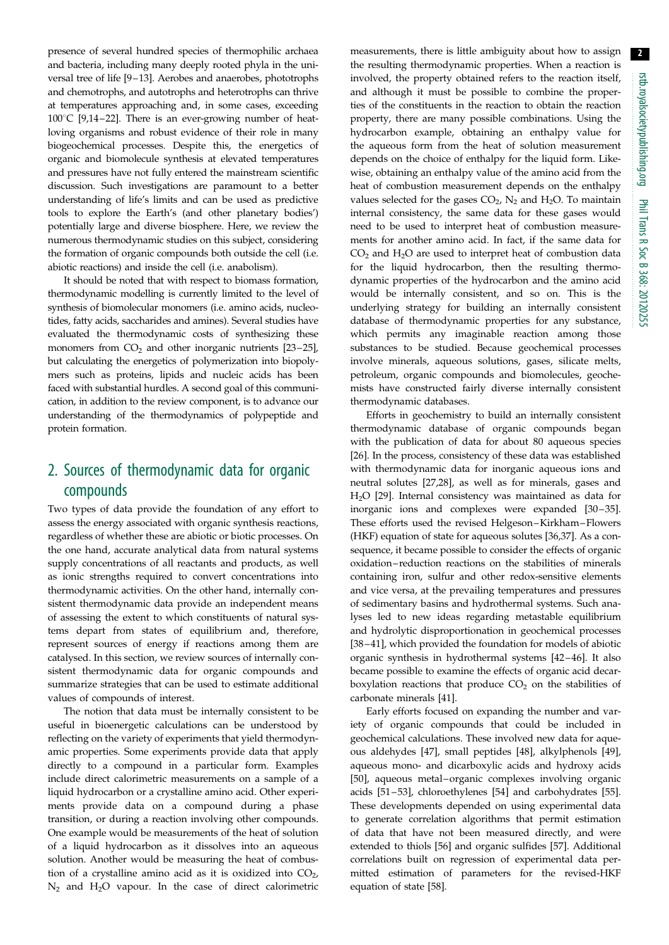presence of several hundred species of thermophilic archaea and bacteria, including many deeply rooted phyla in the universal tree of life [\[9](#page-10-0)–[13](#page-10-0)]. Aerobes and anaerobes, phototrophs and chemotrophs, and autotrophs and heterotrophs can thrive at temperatures approaching and, in some cases, exceeding  $100^{\circ}$ C [\[9,14](#page-10-0)-[22\]](#page-10-0). There is an ever-growing number of heatloving organisms and robust evidence of their role in many biogeochemical processes. Despite this, the energetics of organic and biomolecule synthesis at elevated temperatures and pressures have not fully entered the mainstream scientific discussion. Such investigations are paramount to a better understanding of life's limits and can be used as predictive tools to explore the Earth's (and other planetary bodies') potentially large and diverse biosphere. Here, we review the numerous thermodynamic studies on this subject, considering the formation of organic compounds both outside the cell (i.e. abiotic reactions) and inside the cell (i.e. anabolism).

It should be noted that with respect to biomass formation, thermodynamic modelling is currently limited to the level of synthesis of biomolecular monomers (i.e. amino acids, nucleotides, fatty acids, saccharides and amines). Several studies have evaluated the thermodynamic costs of synthesizing these monomers from  $CO<sub>2</sub>$  and other inorganic nutrients [[23](#page-10-0)–[25](#page-10-0)], but calculating the energetics of polymerization into biopolymers such as proteins, lipids and nucleic acids has been faced with substantial hurdles. A second goal of this communication, in addition to the review component, is to advance our understanding of the thermodynamics of polypeptide and protein formation.

## 2. Sources of thermodynamic data for organic compounds

Two types of data provide the foundation of any effort to assess the energy associated with organic synthesis reactions, regardless of whether these are abiotic or biotic processes. On the one hand, accurate analytical data from natural systems supply concentrations of all reactants and products, as well as ionic strengths required to convert concentrations into thermodynamic activities. On the other hand, internally consistent thermodynamic data provide an independent means of assessing the extent to which constituents of natural systems depart from states of equilibrium and, therefore, represent sources of energy if reactions among them are catalysed. In this section, we review sources of internally consistent thermodynamic data for organic compounds and summarize strategies that can be used to estimate additional values of compounds of interest.

The notion that data must be internally consistent to be useful in bioenergetic calculations can be understood by reflecting on the variety of experiments that yield thermodynamic properties. Some experiments provide data that apply directly to a compound in a particular form. Examples include direct calorimetric measurements on a sample of a liquid hydrocarbon or a crystalline amino acid. Other experiments provide data on a compound during a phase transition, or during a reaction involving other compounds. One example would be measurements of the heat of solution of a liquid hydrocarbon as it dissolves into an aqueous solution. Another would be measuring the heat of combustion of a crystalline amino acid as it is oxidized into  $CO<sub>2</sub>$ , N2 and H2O vapour. In the case of direct calorimetric measurements, there is little ambiguity about how to assign the resulting thermodynamic properties. When a reaction is involved, the property obtained refers to the reaction itself, and although it must be possible to combine the properties of the constituents in the reaction to obtain the reaction property, there are many possible combinations. Using the hydrocarbon example, obtaining an enthalpy value for the aqueous form from the heat of solution measurement depends on the choice of enthalpy for the liquid form. Likewise, obtaining an enthalpy value of the amino acid from the heat of combustion measurement depends on the enthalpy values selected for the gases  $CO<sub>2</sub>$ ,  $N<sub>2</sub>$  and  $H<sub>2</sub>O$ . To maintain internal consistency, the same data for these gases would need to be used to interpret heat of combustion measurements for another amino acid. In fact, if the same data for  $CO<sub>2</sub>$  and  $H<sub>2</sub>O$  are used to interpret heat of combustion data for the liquid hydrocarbon, then the resulting thermodynamic properties of the hydrocarbon and the amino acid would be internally consistent, and so on. This is the underlying strategy for building an internally consistent database of thermodynamic properties for any substance, which permits any imaginable reaction among those substances to be studied. Because geochemical processes involve minerals, aqueous solutions, gases, silicate melts, petroleum, organic compounds and biomolecules, geochemists have constructed fairly diverse internally consistent thermodynamic databases.

Efforts in geochemistry to build an internally consistent thermodynamic database of organic compounds began with the publication of data for about 80 aqueous species [[26\]](#page-10-0). In the process, consistency of these data was established with thermodynamic data for inorganic aqueous ions and neutral solutes [\[27,28](#page-10-0)], as well as for minerals, gases and H2O [[29\]](#page-10-0). Internal consistency was maintained as data for inorganic ions and complexes were expanded [\[30](#page-10-0)–[35\]](#page-11-0). These efforts used the revised Helgeson –Kirkham–Flowers (HKF) equation of state for aqueous solutes [\[36,37](#page-11-0)]. As a consequence, it became possible to consider the effects of organic oxidation – reduction reactions on the stabilities of minerals containing iron, sulfur and other redox-sensitive elements and vice versa, at the prevailing temperatures and pressures of sedimentary basins and hydrothermal systems. Such analyses led to new ideas regarding metastable equilibrium and hydrolytic disproportionation in geochemical processes [[38](#page-11-0) –[41](#page-11-0)], which provided the foundation for models of abiotic organic synthesis in hydrothermal systems [\[42](#page-11-0) –[46\]](#page-11-0). It also became possible to examine the effects of organic acid decarboxylation reactions that produce  $CO<sub>2</sub>$  on the stabilities of carbonate minerals [[41\]](#page-11-0).

Early efforts focused on expanding the number and variety of organic compounds that could be included in geochemical calculations. These involved new data for aqueous aldehydes [[47](#page-11-0)], small peptides [\[48](#page-11-0)], alkylphenols [[49\]](#page-11-0), aqueous mono- and dicarboxylic acids and hydroxy acids [[50\]](#page-11-0), aqueous metal–organic complexes involving organic acids [[51](#page-11-0) –[53\]](#page-11-0), chloroethylenes [[54\]](#page-11-0) and carbohydrates [[55\]](#page-11-0). These developments depended on using experimental data to generate correlation algorithms that permit estimation of data that have not been measured directly, and were extended to thiols [[56\]](#page-11-0) and organic sulfides [[57\]](#page-11-0). Additional correlations built on regression of experimental data permitted estimation of parameters for the revised-HKF equation of state [[58\]](#page-11-0).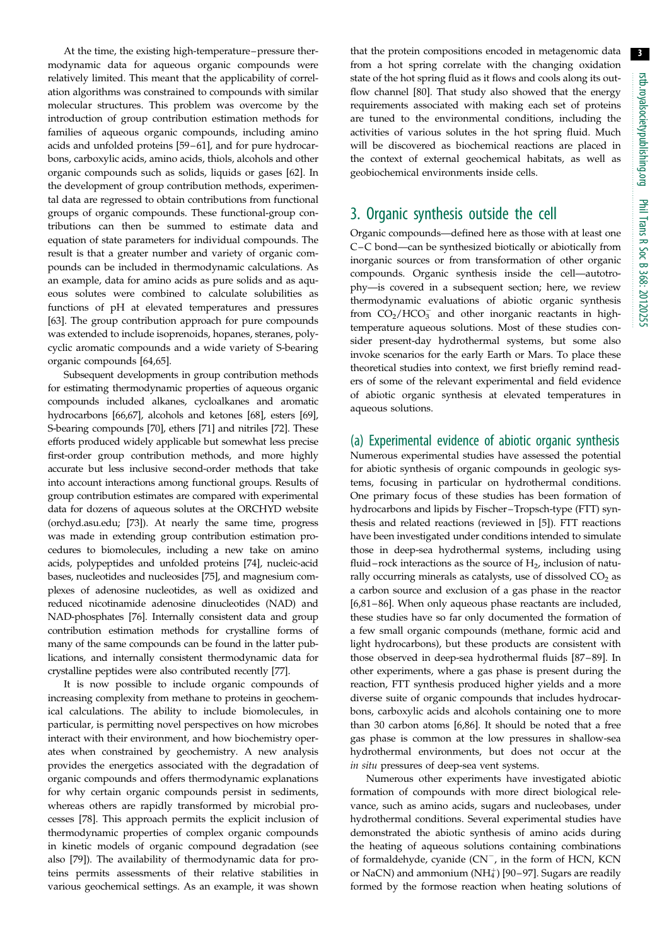At the time, the existing high-temperature–pressure thermodynamic data for aqueous organic compounds were relatively limited. This meant that the applicability of correlation algorithms was constrained to compounds with similar molecular structures. This problem was overcome by the introduction of group contribution estimation methods for families of aqueous organic compounds, including amino acids and unfolded proteins [[59](#page-11-0)–61], and for pure hydrocarbons, carboxylic acids, amino acids, thiols, alcohols and other organic compounds such as solids, liquids or gases [[62\]](#page-11-0). In the development of group contribution methods, experimental data are regressed to obtain contributions from functional groups of organic compounds. These functional-group contributions can then be summed to estimate data and equation of state parameters for individual compounds. The result is that a greater number and variety of organic compounds can be included in thermodynamic calculations. As an example, data for amino acids as pure solids and as aqueous solutes were combined to calculate solubilities as functions of pH at elevated temperatures and pressures [\[63](#page-11-0)]. The group contribution approach for pure compounds was extended to include isoprenoids, hopanes, steranes, polycyclic aromatic compounds and a wide variety of S-bearing organic compounds [\[64](#page-11-0),[65\]](#page-11-0).

Subsequent developments in group contribution methods for estimating thermodynamic properties of aqueous organic compounds included alkanes, cycloalkanes and aromatic hydrocarbons [[66,67\]](#page-11-0), alcohols and ketones [[68\]](#page-11-0), esters [[69](#page-11-0)], S-bearing compounds [[70\]](#page-12-0), ethers [[71](#page-12-0)] and nitriles [\[72](#page-12-0)]. These efforts produced widely applicable but somewhat less precise first-order group contribution methods, and more highly accurate but less inclusive second-order methods that take into account interactions among functional groups. Results of group contribution estimates are compared with experimental data for dozens of aqueous solutes at the ORCHYD website [\(orchyd.asu.edu;](orchyd.asu.edu) [\[73](#page-12-0)]). At nearly the same time, progress was made in extending group contribution estimation procedures to biomolecules, including a new take on amino acids, polypeptides and unfolded proteins [[74\]](#page-12-0), nucleic-acid bases, nucleotides and nucleosides [\[75](#page-12-0)], and magnesium complexes of adenosine nucleotides, as well as oxidized and reduced nicotinamide adenosine dinucleotides (NAD) and NAD-phosphates [\[76](#page-12-0)]. Internally consistent data and group contribution estimation methods for crystalline forms of many of the same compounds can be found in the latter publications, and internally consistent thermodynamic data for crystalline peptides were also contributed recently [[77](#page-12-0)].

It is now possible to include organic compounds of increasing complexity from methane to proteins in geochemical calculations. The ability to include biomolecules, in particular, is permitting novel perspectives on how microbes interact with their environment, and how biochemistry operates when constrained by geochemistry. A new analysis provides the energetics associated with the degradation of organic compounds and offers thermodynamic explanations for why certain organic compounds persist in sediments, whereas others are rapidly transformed by microbial processes [\[78](#page-12-0)]. This approach permits the explicit inclusion of thermodynamic properties of complex organic compounds in kinetic models of organic compound degradation (see also [\[79](#page-12-0)]). The availability of thermodynamic data for proteins permits assessments of their relative stabilities in various geochemical settings. As an example, it was shown

that the protein compositions encoded in metagenomic data from a hot spring correlate with the changing oxidation state of the hot spring fluid as it flows and cools along its outflow channel [[80\]](#page-12-0). That study also showed that the energy requirements associated with making each set of proteins are tuned to the environmental conditions, including the activities of various solutes in the hot spring fluid. Much will be discovered as biochemical reactions are placed in the context of external geochemical habitats, as well as geobiochemical environments inside cells.

## 3. Organic synthesis outside the cell

Organic compounds—defined here as those with at least one C–C bond—can be synthesized biotically or abiotically from inorganic sources or from transformation of other organic compounds. Organic synthesis inside the cell—autotrophy—is covered in a subsequent section; here, we review thermodynamic evaluations of abiotic organic synthesis from  $CO<sub>2</sub>/HCO<sub>3</sub><sup>-</sup>$  and other inorganic reactants in hightemperature aqueous solutions. Most of these studies consider present-day hydrothermal systems, but some also invoke scenarios for the early Earth or Mars. To place these theoretical studies into context, we first briefly remind readers of some of the relevant experimental and field evidence of abiotic organic synthesis at elevated temperatures in aqueous solutions.

#### (a) Experimental evidence of abiotic organic synthesis

Numerous experimental studies have assessed the potential for abiotic synthesis of organic compounds in geologic systems, focusing in particular on hydrothermal conditions. One primary focus of these studies has been formation of hydrocarbons and lipids by Fischer –Tropsch-type (FTT) synthesis and related reactions (reviewed in [\[5\]](#page-10-0)). FTT reactions have been investigated under conditions intended to simulate those in deep-sea hydrothermal systems, including using fluid–rock interactions as the source of  $H_2$ , inclusion of naturally occurring minerals as catalysts, use of dissolved  $CO<sub>2</sub>$  as a carbon source and exclusion of a gas phase in the reactor [[6](#page-10-0)[,81](#page-12-0) –[86\]](#page-12-0). When only aqueous phase reactants are included, these studies have so far only documented the formation of a few small organic compounds (methane, formic acid and light hydrocarbons), but these products are consistent with those observed in deep-sea hydrothermal fluids [[87](#page-12-0)–[89\]](#page-12-0). In other experiments, where a gas phase is present during the reaction, FTT synthesis produced higher yields and a more diverse suite of organic compounds that includes hydrocarbons, carboxylic acids and alcohols containing one to more than 30 carbon atoms [[6](#page-10-0),[86\]](#page-12-0). It should be noted that a free gas phase is common at the low pressures in shallow-sea hydrothermal environments, but does not occur at the in situ pressures of deep-sea vent systems.

Numerous other experiments have investigated abiotic formation of compounds with more direct biological relevance, such as amino acids, sugars and nucleobases, under hydrothermal conditions. Several experimental studies have demonstrated the abiotic synthesis of amino acids during the heating of aqueous solutions containing combinations of formaldehyde, cyanide  $(CN^{-})$ , in the form of HCN, KCN or NaCN) and ammonium (NH $_4^+$ ) [\[90](#page-12-0)-97]. Sugars are readily formed by the formose reaction when heating solutions of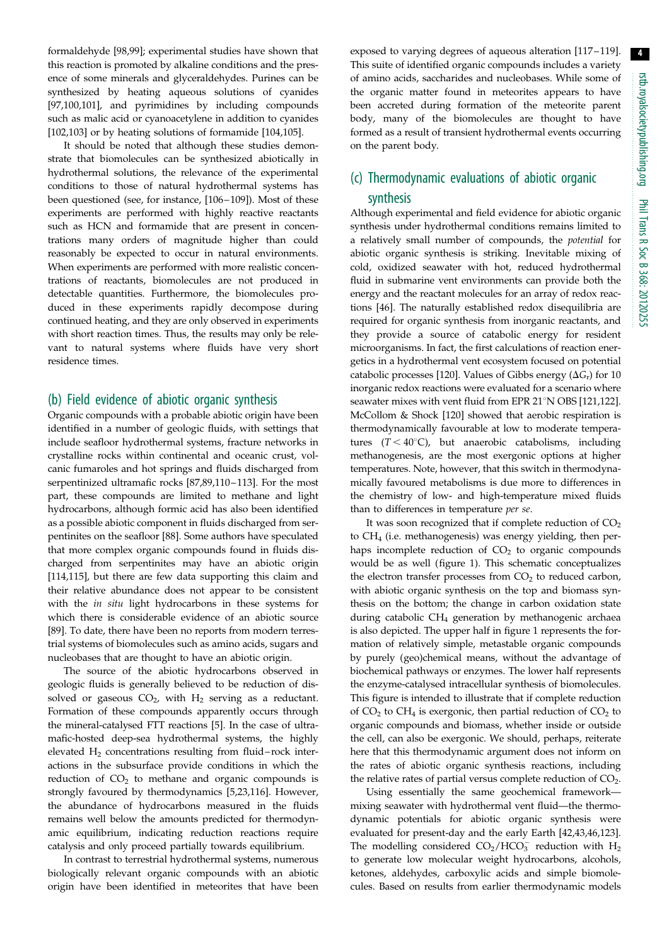formaldehyde [[98,99](#page-12-0)]; experimental studies have shown that this reaction is promoted by alkaline conditions and the presence of some minerals and glyceraldehydes. Purines can be synthesized by heating aqueous solutions of cyanides [\[97](#page-12-0),[100,101\]](#page-12-0), and pyrimidines by including compounds such as malic acid or cyanoacetylene in addition to cyanides [\[102,103\]](#page-12-0) or by heating solutions of formamide [\[104,105](#page-12-0)].

It should be noted that although these studies demonstrate that biomolecules can be synthesized abiotically in hydrothermal solutions, the relevance of the experimental conditions to those of natural hydrothermal systems has been questioned (see, for instance, [\[106](#page-12-0)-109]). Most of these experiments are performed with highly reactive reactants such as HCN and formamide that are present in concentrations many orders of magnitude higher than could reasonably be expected to occur in natural environments. When experiments are performed with more realistic concentrations of reactants, biomolecules are not produced in detectable quantities. Furthermore, the biomolecules produced in these experiments rapidly decompose during continued heating, and they are only observed in experiments with short reaction times. Thus, the results may only be relevant to natural systems where fluids have very short residence times.

#### (b) Field evidence of abiotic organic synthesis

Organic compounds with a probable abiotic origin have been identified in a number of geologic fluids, with settings that include seafloor hydrothermal systems, fracture networks in crystalline rocks within continental and oceanic crust, volcanic fumaroles and hot springs and fluids discharged from serpentinized ultramafic rocks [[87,89](#page-12-0)[,110](#page-13-0)–[113\]](#page-13-0). For the most part, these compounds are limited to methane and light hydrocarbons, although formic acid has also been identified as a possible abiotic component in fluids discharged from serpentinites on the seafloor [\[88](#page-12-0)]. Some authors have speculated that more complex organic compounds found in fluids discharged from serpentinites may have an abiotic origin [\[114,115\]](#page-13-0), but there are few data supporting this claim and their relative abundance does not appear to be consistent with the in situ light hydrocarbons in these systems for which there is considerable evidence of an abiotic source [\[89](#page-12-0)]. To date, there have been no reports from modern terrestrial systems of biomolecules such as amino acids, sugars and nucleobases that are thought to have an abiotic origin.

The source of the abiotic hydrocarbons observed in geologic fluids is generally believed to be reduction of dissolved or gaseous  $CO<sub>2</sub>$ , with  $H<sub>2</sub>$  serving as a reductant. Formation of these compounds apparently occurs through the mineral-catalysed FTT reactions [\[5](#page-10-0)]. In the case of ultramafic-hosted deep-sea hydrothermal systems, the highly elevated  $H_2$  concentrations resulting from fluid-rock interactions in the subsurface provide conditions in which the reduction of  $CO<sub>2</sub>$  to methane and organic compounds is strongly favoured by thermodynamics [[5,23](#page-10-0),[116](#page-13-0)]. However, the abundance of hydrocarbons measured in the fluids remains well below the amounts predicted for thermodynamic equilibrium, indicating reduction reactions require catalysis and only proceed partially towards equilibrium.

In contrast to terrestrial hydrothermal systems, numerous biologically relevant organic compounds with an abiotic origin have been identified in meteorites that have been

exposed to varying degrees of aqueous alteration [\[117](#page-13-0)-[119\]](#page-13-0). This suite of identified organic compounds includes a variety of amino acids, saccharides and nucleobases. While some of the organic matter found in meteorites appears to have been accreted during formation of the meteorite parent body, many of the biomolecules are thought to have formed as a result of transient hydrothermal events occurring on the parent body.

## (c) Thermodynamic evaluations of abiotic organic synthesis

Although experimental and field evidence for abiotic organic synthesis under hydrothermal conditions remains limited to a relatively small number of compounds, the potential for abiotic organic synthesis is striking. Inevitable mixing of cold, oxidized seawater with hot, reduced hydrothermal fluid in submarine vent environments can provide both the energy and the reactant molecules for an array of redox reactions [[46\]](#page-11-0). The naturally established redox disequilibria are required for organic synthesis from inorganic reactants, and they provide a source of catabolic energy for resident microorganisms. In fact, the first calculations of reaction energetics in a hydrothermal vent ecosystem focused on potential catabolic processes [\[120\]](#page-13-0). Values of Gibbs energy  $(\Delta G_r)$  for 10 inorganic redox reactions were evaluated for a scenario where seawater mixes with vent fluid from EPR 21°N OBS [\[121,122\]](#page-13-0). McCollom & Shock [[120](#page-13-0)] showed that aerobic respiration is thermodynamically favourable at low to moderate temperatures  $(T < 40^{\circ}C)$ , but anaerobic catabolisms, including methanogenesis, are the most exergonic options at higher temperatures. Note, however, that this switch in thermodynamically favoured metabolisms is due more to differences in the chemistry of low- and high-temperature mixed fluids than to differences in temperature per se.

It was soon recognized that if complete reduction of  $CO<sub>2</sub>$ to CH4 (i.e. methanogenesis) was energy yielding, then perhaps incomplete reduction of  $CO<sub>2</sub>$  to organic compounds would be as well [\(figure 1\)](#page-4-0). This schematic conceptualizes the electron transfer processes from  $CO<sub>2</sub>$  to reduced carbon, with abiotic organic synthesis on the top and biomass synthesis on the bottom; the change in carbon oxidation state during catabolic CH<sub>4</sub> generation by methanogenic archaea is also depicted. The upper half in [figure 1](#page-4-0) represents the formation of relatively simple, metastable organic compounds by purely (geo)chemical means, without the advantage of biochemical pathways or enzymes. The lower half represents the enzyme-catalysed intracellular synthesis of biomolecules. This figure is intended to illustrate that if complete reduction of  $CO<sub>2</sub>$  to  $CH<sub>4</sub>$  is exergonic, then partial reduction of  $CO<sub>2</sub>$  to organic compounds and biomass, whether inside or outside the cell, can also be exergonic. We should, perhaps, reiterate here that this thermodynamic argument does not inform on the rates of abiotic organic synthesis reactions, including the relative rates of partial versus complete reduction of  $CO<sub>2</sub>$ .

Using essentially the same geochemical framework mixing seawater with hydrothermal vent fluid—the thermodynamic potentials for abiotic organic synthesis were evaluated for present-day and the early Earth [\[42](#page-11-0),[43,46](#page-11-0)[,123\]](#page-13-0). The modelling considered  $CO<sub>2</sub>/HCO<sub>3</sub><sup>-</sup>$  reduction with  $H<sub>2</sub>$ to generate low molecular weight hydrocarbons, alcohols, ketones, aldehydes, carboxylic acids and simple biomolecules. Based on results from earlier thermodynamic models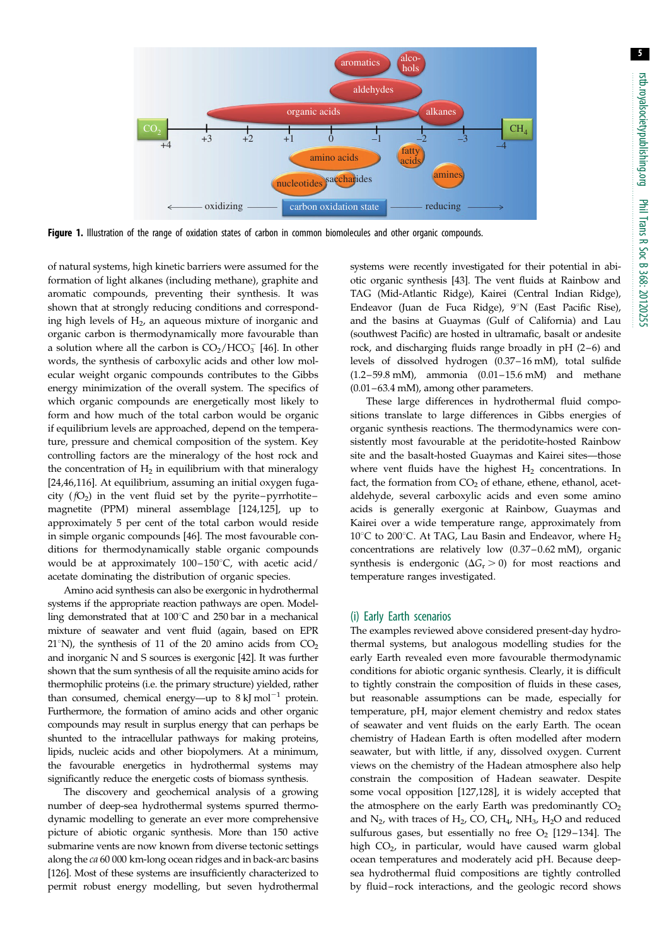<span id="page-4-0"></span>

Figure 1. Illustration of the range of oxidation states of carbon in common biomolecules and other organic compounds.

of natural systems, high kinetic barriers were assumed for the formation of light alkanes (including methane), graphite and aromatic compounds, preventing their synthesis. It was shown that at strongly reducing conditions and corresponding high levels of  $H<sub>2</sub>$ , an aqueous mixture of inorganic and organic carbon is thermodynamically more favourable than a solution where all the carbon is  $CO<sub>2</sub>/HCO<sub>3</sub><sup>-</sup>$  [\[46](#page-11-0)]. In other words, the synthesis of carboxylic acids and other low molecular weight organic compounds contributes to the Gibbs energy minimization of the overall system. The specifics of which organic compounds are energetically most likely to form and how much of the total carbon would be organic if equilibrium levels are approached, depend on the temperature, pressure and chemical composition of the system. Key controlling factors are the mineralogy of the host rock and the concentration of  $H_2$  in equilibrium with that mineralogy [\[24](#page-10-0),[46,](#page-11-0)[116](#page-13-0)]. At equilibrium, assuming an initial oxygen fugacity  $(fO_2)$  in the vent fluid set by the pyrite-pyrrhotitemagnetite (PPM) mineral assemblage [\[124,125\]](#page-13-0), up to approximately 5 per cent of the total carbon would reside in simple organic compounds [\[46](#page-11-0)]. The most favourable conditions for thermodynamically stable organic compounds would be at approximately  $100-150^{\circ}$ C, with acetic acid/ acetate dominating the distribution of organic species.

Amino acid synthesis can also be exergonic in hydrothermal systems if the appropriate reaction pathways are open. Modelling demonstrated that at  $100^{\circ}$ C and 250 bar in a mechanical mixture of seawater and vent fluid (again, based on EPR 21°N), the synthesis of 11 of the 20 amino acids from  $CO<sub>2</sub>$ and inorganic N and S sources is exergonic [\[42](#page-11-0)]. It was further shown that the sum synthesis of all the requisite amino acids for thermophilic proteins (i.e. the primary structure) yielded, rather than consumed, chemical energy—up to  $8 \text{ kJ mol}^{-1}$  protein. Furthermore, the formation of amino acids and other organic compounds may result in surplus energy that can perhaps be shunted to the intracellular pathways for making proteins, lipids, nucleic acids and other biopolymers. At a minimum, the favourable energetics in hydrothermal systems may significantly reduce the energetic costs of biomass synthesis.

The discovery and geochemical analysis of a growing number of deep-sea hydrothermal systems spurred thermodynamic modelling to generate an ever more comprehensive picture of abiotic organic synthesis. More than 150 active submarine vents are now known from diverse tectonic settings along the ca 60 000 km-long ocean ridges and in back-arc basins [\[126\]](#page-13-0). Most of these systems are insufficiently characterized to permit robust energy modelling, but seven hydrothermal systems were recently investigated for their potential in abiotic organic synthesis [[43\]](#page-11-0). The vent fluids at Rainbow and TAG (Mid-Atlantic Ridge), Kairei (Central Indian Ridge), Endeavor (Juan de Fuca Ridge), 9°N (East Pacific Rise), and the basins at Guaymas (Gulf of California) and Lau (southwest Pacific) are hosted in ultramafic, basalt or andesite rock, and discharging fluids range broadly in pH (2–6) and levels of dissolved hydrogen (0.37–16 mM), total sulfide (1.2–59.8 mM), ammonia (0.01–15.6 mM) and methane (0.01–63.4 mM), among other parameters.

These large differences in hydrothermal fluid compositions translate to large differences in Gibbs energies of organic synthesis reactions. The thermodynamics were consistently most favourable at the peridotite-hosted Rainbow site and the basalt-hosted Guaymas and Kairei sites—those where vent fluids have the highest  $H<sub>2</sub>$  concentrations. In fact, the formation from  $CO<sub>2</sub>$  of ethane, ethene, ethanol, acetaldehyde, several carboxylic acids and even some amino acids is generally exergonic at Rainbow, Guaymas and Kairei over a wide temperature range, approximately from 10°C to 200°C. At TAG, Lau Basin and Endeavor, where  $H_2$ concentrations are relatively low  $(0.37-0.62 \text{ mM})$ , organic synthesis is endergonic  $(\Delta G_r > 0)$  for most reactions and temperature ranges investigated.

#### (i) Early Earth scenarios

The examples reviewed above considered present-day hydrothermal systems, but analogous modelling studies for the early Earth revealed even more favourable thermodynamic conditions for abiotic organic synthesis. Clearly, it is difficult to tightly constrain the composition of fluids in these cases, but reasonable assumptions can be made, especially for temperature, pH, major element chemistry and redox states of seawater and vent fluids on the early Earth. The ocean chemistry of Hadean Earth is often modelled after modern seawater, but with little, if any, dissolved oxygen. Current views on the chemistry of the Hadean atmosphere also help constrain the composition of Hadean seawater. Despite some vocal opposition [\[127,128](#page-13-0)], it is widely accepted that the atmosphere on the early Earth was predominantly  $CO<sub>2</sub>$ and  $N_2$ , with traces of  $H_2$ , CO, CH<sub>4</sub>, NH<sub>3</sub>, H<sub>2</sub>O and reduced sulfurous gases, but essentially no free  $O<sub>2</sub>$  [\[129](#page-13-0)-[134](#page-13-0)]. The high CO<sub>2</sub>, in particular, would have caused warm global ocean temperatures and moderately acid pH. Because deepsea hydrothermal fluid compositions are tightly controlled by fluid– rock interactions, and the geologic record shows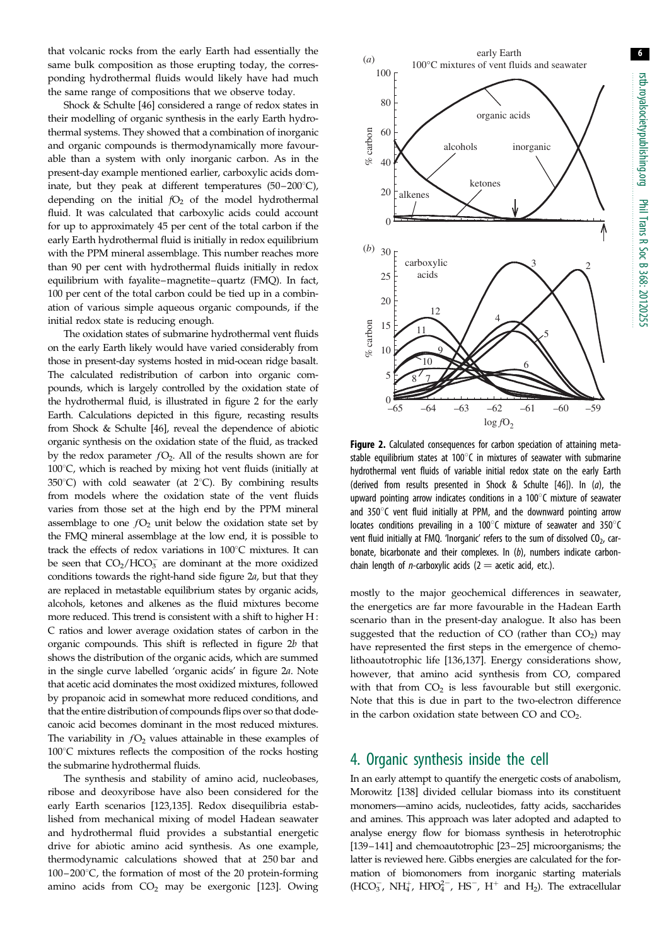that volcanic rocks from the early Earth had essentially the same bulk composition as those erupting today, the corresponding hydrothermal fluids would likely have had much the same range of compositions that we observe today.

Shock & Schulte [\[46\]](#page-11-0) considered a range of redox states in their modelling of organic synthesis in the early Earth hydrothermal systems. They showed that a combination of inorganic and organic compounds is thermodynamically more favourable than a system with only inorganic carbon. As in the present-day example mentioned earlier, carboxylic acids dominate, but they peak at different temperatures  $(50-200^{\circ}C)$ , depending on the initial  $fO<sub>2</sub>$  of the model hydrothermal fluid. It was calculated that carboxylic acids could account for up to approximately 45 per cent of the total carbon if the early Earth hydrothermal fluid is initially in redox equilibrium with the PPM mineral assemblage. This number reaches more than 90 per cent with hydrothermal fluids initially in redox equilibrium with fayalite–magnetite–quartz (FMQ). In fact, 100 per cent of the total carbon could be tied up in a combination of various simple aqueous organic compounds, if the initial redox state is reducing enough.

The oxidation states of submarine hydrothermal vent fluids on the early Earth likely would have varied considerably from those in present-day systems hosted in mid-ocean ridge basalt. The calculated redistribution of carbon into organic compounds, which is largely controlled by the oxidation state of the hydrothermal fluid, is illustrated in figure 2 for the early Earth. Calculations depicted in this figure, recasting results from Shock & Schulte [\[46\]](#page-11-0), reveal the dependence of abiotic organic synthesis on the oxidation state of the fluid, as tracked by the redox parameter  $fO_2$ . All of the results shown are for  $100^{\circ}$ C, which is reached by mixing hot vent fluids (initially at 350 $^{\circ}$ C) with cold seawater (at  $2^{\circ}$ C). By combining results from models where the oxidation state of the vent fluids varies from those set at the high end by the PPM mineral assemblage to one  $fO<sub>2</sub>$  unit below the oxidation state set by the FMQ mineral assemblage at the low end, it is possible to track the effects of redox variations in  $100^{\circ}$ C mixtures. It can be seen that  $CO_2/HCO_3^-$  are dominant at the more oxidized conditions towards the right-hand side figure 2a, but that they are replaced in metastable equilibrium states by organic acids, alcohols, ketones and alkenes as the fluid mixtures become more reduced. This trend is consistent with a shift to higher H : C ratios and lower average oxidation states of carbon in the organic compounds. This shift is reflected in figure 2b that shows the distribution of the organic acids, which are summed in the single curve labelled 'organic acids' in figure 2a. Note that acetic acid dominates the most oxidized mixtures, followed by propanoic acid in somewhat more reduced conditions, and that the entire distribution of compounds flips over so that dodecanoic acid becomes dominant in the most reduced mixtures. The variability in  $fO_2$  values attainable in these examples of  $100^{\circ}$ C mixtures reflects the composition of the rocks hosting the submarine hydrothermal fluids.

The synthesis and stability of amino acid, nucleobases, ribose and deoxyribose have also been considered for the early Earth scenarios [\[123,135\]](#page-13-0). Redox disequilibria established from mechanical mixing of model Hadean seawater and hydrothermal fluid provides a substantial energetic drive for abiotic amino acid synthesis. As one example, thermodynamic calculations showed that at 250 bar and  $100 - 200$ °C, the formation of most of the 20 protein-forming amino acids from  $CO<sub>2</sub>$  may be exergonic [[123](#page-13-0)]. Owing



Figure 2. Calculated consequences for carbon speciation of attaining metastable equilibrium states at 100 $^{\circ}$ C in mixtures of seawater with submarine hydrothermal vent fluids of variable initial redox state on the early Earth (derived from results presented in Shock & Schulte [[46](#page-11-0)]). In (a), the upward pointing arrow indicates conditions in a  $100^{\circ}$ C mixture of seawater and  $350^{\circ}$ C vent fluid initially at PPM, and the downward pointing arrow locates conditions prevailing in a 100 $^{\circ}$ C mixture of seawater and 350 $^{\circ}$ C vent fluid initially at FMQ. 'Inorganic' refers to the sum of dissolved  $\mathcal{O}_2$ , carbonate, bicarbonate and their complexes. In (b), numbers indicate carbonchain length of *n*-carboxylic acids ( $2 =$  acetic acid, etc.).

mostly to the major geochemical differences in seawater, the energetics are far more favourable in the Hadean Earth scenario than in the present-day analogue. It also has been suggested that the reduction of CO (rather than  $CO<sub>2</sub>$ ) may have represented the first steps in the emergence of chemolithoautotrophic life [\[136,137\]](#page-13-0). Energy considerations show, however, that amino acid synthesis from CO, compared with that from  $CO<sub>2</sub>$  is less favourable but still exergonic. Note that this is due in part to the two-electron difference in the carbon oxidation state between CO and  $CO<sub>2</sub>$ .

## 4. Organic synthesis inside the cell

In an early attempt to quantify the energetic costs of anabolism, Morowitz [\[138](#page-13-0)] divided cellular biomass into its constituent monomers—amino acids, nucleotides, fatty acids, saccharides and amines. This approach was later adopted and adapted to analyse energy flow for biomass synthesis in heterotrophic [[139](#page-13-0)–[141\]](#page-13-0) and chemoautotrophic [\[23](#page-10-0)–[25\]](#page-10-0) microorganisms; the latter is reviewed here. Gibbs energies are calculated for the formation of biomonomers from inorganic starting materials  $(HCO_3^-$ ,  $NH_4^+$ ,  $HPO_4^{2-}$ ,  $HS^-$ ,  $H^+$  and  $H_2$ ). The extracellular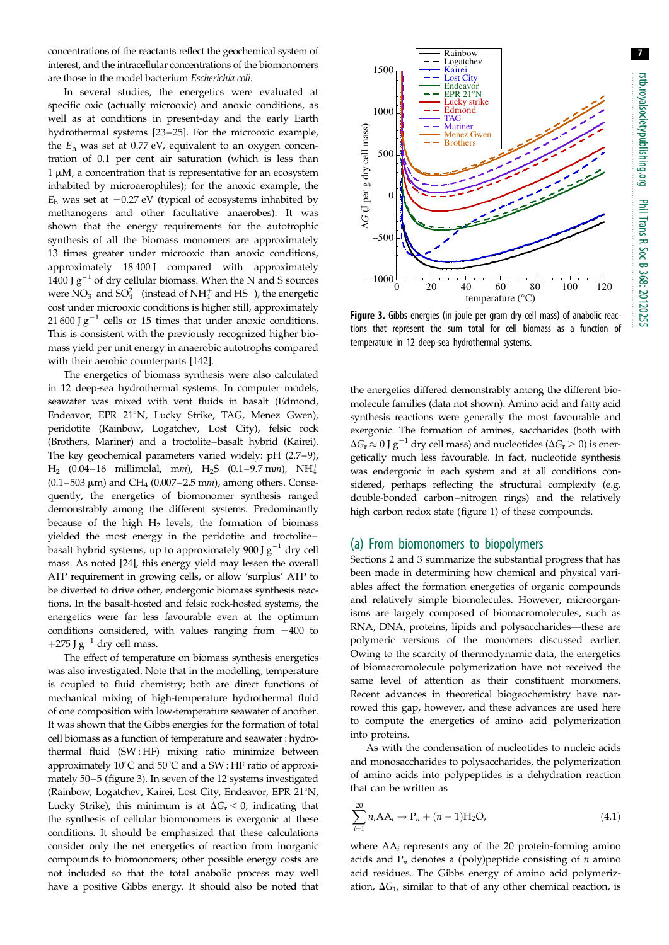concentrations of the reactants reflect the geochemical system of interest, and the intracellular concentrations of the biomonomers are those in the model bacterium Escherichia coli.

In several studies, the energetics were evaluated at specific oxic (actually microoxic) and anoxic conditions, as well as at conditions in present-day and the early Earth hydrothermal systems [[23](#page-10-0) –[25\]](#page-10-0). For the microoxic example, the  $E_h$  was set at 0.77 eV, equivalent to an oxygen concentration of 0.1 per cent air saturation (which is less than  $1 \mu$ M, a concentration that is representative for an ecosystem inhabited by microaerophiles); for the anoxic example, the  $E_h$  was set at  $-0.27$  eV (typical of ecosystems inhabited by methanogens and other facultative anaerobes). It was shown that the energy requirements for the autotrophic synthesis of all the biomass monomers are approximately 13 times greater under microoxic than anoxic conditions, approximately 18400 J compared with approximately 1400 J  $g^{-1}$  of dry cellular biomass. When the N and S sources were  $\mathrm{NO_3^-}$  and  $\mathrm{SO_4^{2-}}$  (instead of  $\mathrm{NH_4^+}$  and  $\mathrm{HS^-}$ ), the energetic cost under microoxic conditions is higher still, approximately 21 600 J  $g^{-1}$  cells or 15 times that under anoxic conditions. This is consistent with the previously recognized higher biomass yield per unit energy in anaerobic autotrophs compared with their aerobic counterparts [[142](#page-13-0)].

The energetics of biomass synthesis were also calculated in 12 deep-sea hydrothermal systems. In computer models, seawater was mixed with vent fluids in basalt (Edmond, Endeavor, EPR 21°N, Lucky Strike, TAG, Menez Gwen), peridotite (Rainbow, Logatchev, Lost City), felsic rock (Brothers, Mariner) and a troctolite–basalt hybrid (Kairei). The key geochemical parameters varied widely: pH (2.7–9),  $H_2$  (0.04–16 millimolal, mm),  $H_2S$  (0.1–9.7 mm),  $NH_4^+$  $(0.1 - 503 \,\mu m)$  and CH<sub>4</sub>  $(0.007 - 2.5 \,\text{mm})$ , among others. Consequently, the energetics of biomonomer synthesis ranged demonstrably among the different systems. Predominantly because of the high  $H_2$  levels, the formation of biomass yielded the most energy in the peridotite and troctolite– basalt hybrid systems, up to approximately 900 J  $g^{-1}$  dry cell mass. As noted [\[24](#page-10-0)], this energy yield may lessen the overall ATP requirement in growing cells, or allow 'surplus' ATP to be diverted to drive other, endergonic biomass synthesis reactions. In the basalt-hosted and felsic rock-hosted systems, the energetics were far less favourable even at the optimum conditions considered, with values ranging from  $-400$  to +275 J  $g^{-1}$  dry cell mass.

The effect of temperature on biomass synthesis energetics was also investigated. Note that in the modelling, temperature is coupled to fluid chemistry; both are direct functions of mechanical mixing of high-temperature hydrothermal fluid of one composition with low-temperature seawater of another. It was shown that the Gibbs energies for the formation of total cell biomass as a function of temperature and seawater : hydrothermal fluid (SW : HF) mixing ratio minimize between approximately  $10^{\circ}$ C and  $50^{\circ}$ C and a SW : HF ratio of approximately 50–5 (figure 3). In seven of the 12 systems investigated (Rainbow, Logatchev, Kairei, Lost City, Endeavor, EPR 21°N, Lucky Strike), this minimum is at  $\Delta G_r < 0$ , indicating that the synthesis of cellular biomonomers is exergonic at these conditions. It should be emphasized that these calculations consider only the net energetics of reaction from inorganic compounds to biomonomers; other possible energy costs are not included so that the total anabolic process may well have a positive Gibbs energy. It should also be noted that



Figure 3. Gibbs energies (in joule per gram dry cell mass) of anabolic reactions that represent the sum total for cell biomass as a function of temperature in 12 deep-sea hydrothermal systems.

the energetics differed demonstrably among the different biomolecule families (data not shown). Amino acid and fatty acid synthesis reactions were generally the most favourable and exergonic. The formation of amines, saccharides (both with  $\Delta G_{\rm r} \approx 0$  J  ${\rm g}^{-1}$  dry cell mass) and nucleotides ( $\Delta G_{\rm r}$   $>$  0) is energetically much less favourable. In fact, nucleotide synthesis was endergonic in each system and at all conditions considered, perhaps reflecting the structural complexity (e.g. double-bonded carbon–nitrogen rings) and the relatively high carbon redox state ([figure 1\)](#page-4-0) of these compounds.

#### (a) From biomonomers to biopolymers

Sections 2 and 3 summarize the substantial progress that has been made in determining how chemical and physical variables affect the formation energetics of organic compounds and relatively simple biomolecules. However, microorganisms are largely composed of biomacromolecules, such as RNA, DNA, proteins, lipids and polysaccharides—these are polymeric versions of the monomers discussed earlier. Owing to the scarcity of thermodynamic data, the energetics of biomacromolecule polymerization have not received the same level of attention as their constituent monomers. Recent advances in theoretical biogeochemistry have narrowed this gap, however, and these advances are used here to compute the energetics of amino acid polymerization into proteins.

As with the condensation of nucleotides to nucleic acids and monosaccharides to polysaccharides, the polymerization of amino acids into polypeptides is a dehydration reaction that can be written as

$$
\sum_{i=1}^{20} n_i A A_i \to P_n + (n-1) H_2 O,
$$
\n(4.1)

where  $AA_i$  represents any of the 20 protein-forming amino acids and  $P_n$  denotes a (poly)peptide consisting of *n* amino acid residues. The Gibbs energy of amino acid polymerization,  $\Delta G_1$ , similar to that of any other chemical reaction, is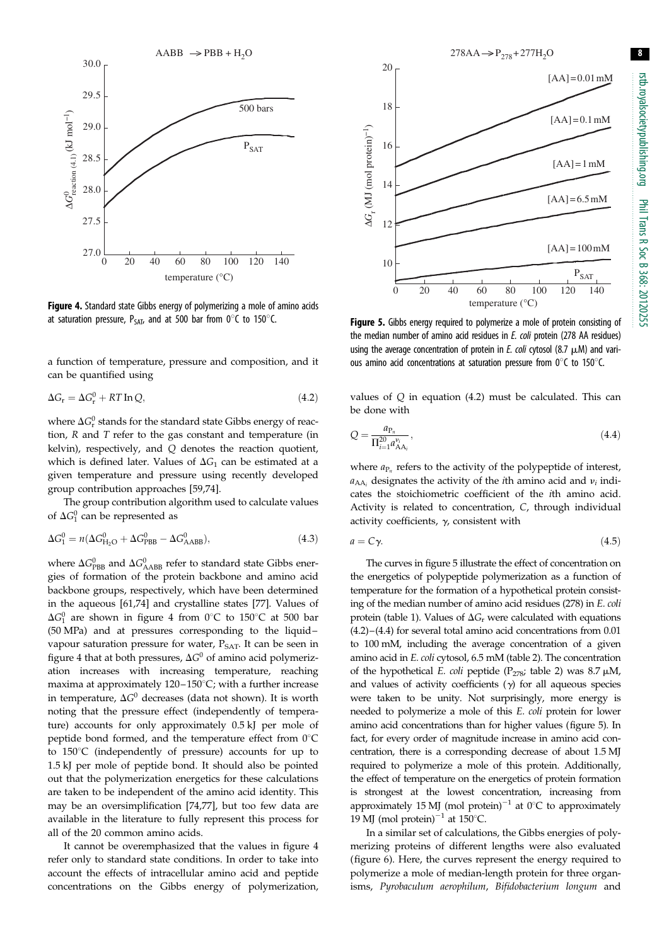

Figure 4. Standard state Gibbs energy of polymerizing a mole of amino acids at saturation pressure,  $P_{SAT}$ , and at 500 bar from 0°C to 150°C.

a function of temperature, pressure and composition, and it can be quantified using

$$
\Delta G_{\rm r} = \Delta G_{\rm r}^0 + RT \ln Q, \tag{4.2}
$$

where  $\Delta G_{\rm r}^0$  stands for the standard state Gibbs energy of reaction, R and T refer to the gas constant and temperature (in kelvin), respectively, and Q denotes the reaction quotient, which is defined later. Values of  $\Delta G_1$  can be estimated at a given temperature and pressure using recently developed group contribution approaches [\[59,](#page-11-0)[74\]](#page-12-0).

The group contribution algorithm used to calculate values of  $\Delta G_1^0$  can be represented as

$$
\Delta G_1^0 = n(\Delta G_{\text{H}_2\text{O}}^0 + \Delta G_{\text{PBB}}^0 - \Delta G_{\text{AABB}}^0),\tag{4.3}
$$

where  $\Delta G_{\mathrm{PBB}}^{0}$  and  $\Delta G_{\mathrm{AABB}}^{0}$  refer to standard state Gibbs energies of formation of the protein backbone and amino acid backbone groups, respectively, which have been determined in the aqueous [[61,](#page-11-0)[74\]](#page-12-0) and crystalline states [\[77](#page-12-0)]. Values of  $\Delta G_1^0$  are shown in figure 4 from  $0^{\circ}$ C to  $150^{\circ}$ C at 500 bar (50 MPa) and at pressures corresponding to the liquid – vapour saturation pressure for water,  $P_{SAT}$ . It can be seen in figure 4 that at both pressures,  $\Delta G^0$  of amino acid polymerization increases with increasing temperature, reaching maxima at approximately  $120-150^{\circ}$ C; with a further increase in temperature,  $\Delta G^0$  decreases (data not shown). It is worth noting that the pressure effect (independently of temperature) accounts for only approximately 0.5 kJ per mole of peptide bond formed, and the temperature effect from  $0^{\circ}$ C to  $150^{\circ}$ C (independently of pressure) accounts for up to 1.5 kJ per mole of peptide bond. It should also be pointed out that the polymerization energetics for these calculations are taken to be independent of the amino acid identity. This may be an oversimplification [\[74](#page-12-0),[77\]](#page-12-0), but too few data are available in the literature to fully represent this process for all of the 20 common amino acids.

It cannot be overemphasized that the values in figure 4 refer only to standard state conditions. In order to take into account the effects of intracellular amino acid and peptide concentrations on the Gibbs energy of polymerization,



Figure 5. Gibbs energy required to polymerize a mole of protein consisting of the median number of amino acid residues in E. coli protein (278 AA residues) using the average concentration of protein in E. coli cytosol (8.7  $\mu$ M) and various amino acid concentrations at saturation pressure from  $0^{\circ}$ C to 150 $^{\circ}$ C.

values of  $Q$  in equation (4.2) must be calculated. This can be done with

$$
Q = \frac{a_{P_n}}{\prod_{i=1}^{20} a_{AA_i}^{v_i}},
$$
\n(4.4)

where  $a_{P_n}$  refers to the activity of the polypeptide of interest,  $a_{AA_i}$  designates the activity of the *i*th amino acid and  $v_i$  indicates the stoichiometric coefficient of the ith amino acid. Activity is related to concentration, C, through individual activity coefficients,  $\gamma$ , consistent with

$$
a = C\gamma. \tag{4.5}
$$

The curves in figure 5 illustrate the effect of concentration on the energetics of polypeptide polymerization as a function of temperature for the formation of a hypothetical protein consisting of the median number of amino acid residues (278) in E. coli protein ([table 1\)](#page-8-0). Values of  $\Delta G_r$  were calculated with equations (4.2)–(4.4) for several total amino acid concentrations from 0.01 to 100 mM, including the average concentration of a given amino acid in E. coli cytosol, 6.5 mM [\(table 2](#page-8-0)). The concentration of the hypothetical E. coli peptide ( $P_{278}$ ; [table 2](#page-8-0)) was 8.7  $\mu$ M, and values of activity coefficients  $(y)$  for all aqueous species were taken to be unity. Not surprisingly, more energy is needed to polymerize a mole of this E. coli protein for lower amino acid concentrations than for higher values (figure 5). In fact, for every order of magnitude increase in amino acid concentration, there is a corresponding decrease of about 1.5 MJ required to polymerize a mole of this protein. Additionally, the effect of temperature on the energetics of protein formation is strongest at the lowest concentration, increasing from approximately 15 MJ (mol protein)<sup> $-1$ </sup> at 0°C to approximately 19 MJ (mol protein) $^{-1}$  at 150°C.

In a similar set of calculations, the Gibbs energies of polymerizing proteins of different lengths were also evaluated ([figure 6](#page-9-0)). Here, the curves represent the energy required to polymerize a mole of median-length protein for three organisms, Pyrobaculum aerophilum, Bifidobacterium longum and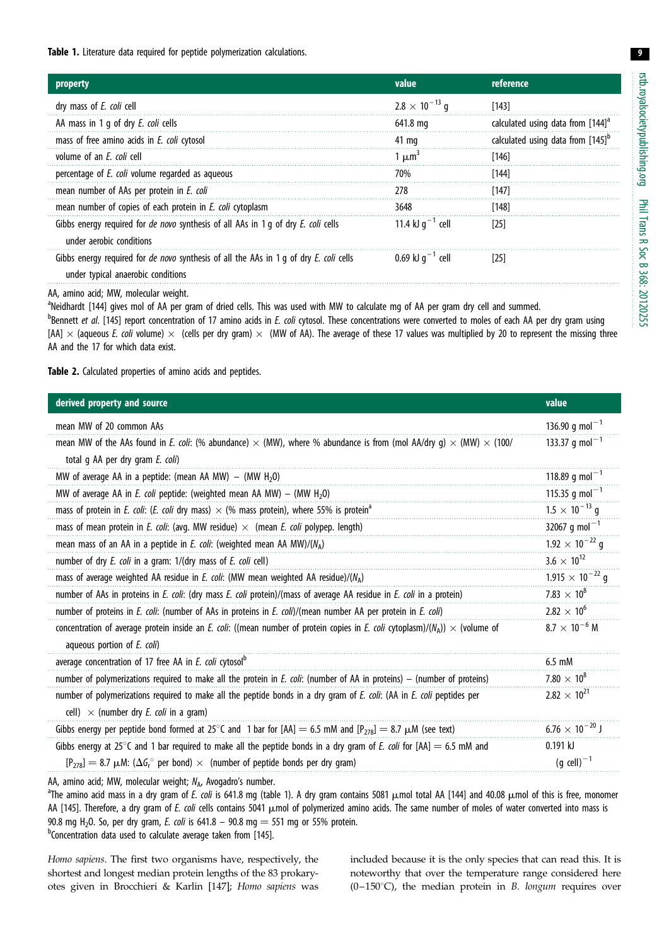#### <span id="page-8-0"></span>Table 1. Literature data required for peptide polymerization calculations.

| property                                                                                                                            | value                   | reference                                     |
|-------------------------------------------------------------------------------------------------------------------------------------|-------------------------|-----------------------------------------------|
| dry mass of E. coli cell                                                                                                            | $2.8 \times 10^{-13}$ g | [143]                                         |
| AA mass in 1 g of dry E. coli cells                                                                                                 | 641.8 mg                | calculated using data from [144] <sup>a</sup> |
| mass of free amino acids in E. coli cytosol                                                                                         | 41 mg                   | calculated using data from [145] <sup>b</sup> |
| volume of an <i>F. coli</i> cell                                                                                                    | $1 \mu m^3$             | [146]                                         |
| percentage of E. coli volume regarded as aqueous                                                                                    | 70%                     | [144]                                         |
| mean number of AAs per protein in E. coli                                                                                           | 278                     | 11471                                         |
| mean number of copies of each protein in E. coli cytoplasm                                                                          | 3648                    | 11481                                         |
| Gibbs energy required for <i>de novo</i> synthesis of all AAs in 1 g of dry E. coli cells<br>under aerobic conditions               | 11.4 kJ $q^{-1}$ cell   | [25]                                          |
| Gibbs energy required for <i>de novo</i> synthesis of all the AAs in 1 q of dry E. coli cells<br>under typical anaerobic conditions | 0.69 kJ $q^{-1}$ cell   | [25]                                          |

AA, amino acid; MW, molecular weight.

<sup>a</sup>Neidhardt [\[144\]](#page-13-0) gives mol of AA per gram of dried cells. This was used with MW to calculate mg of AA per gram dry cell and summed. b<br>Bennett et al. [\[145](#page-13-0)] report concentration of 17 amino acids in E. coli cytosol. These concentrations were converted to moles of each AA per dry gram using [AA]  $\times$  (aqueous E. coli volume)  $\times$  (cells per dry gram)  $\times$  (MW of AA). The average of these 17 values was multiplied by 20 to represent the missing three AA and the 17 for which data exist.

#### Table 2. Calculated properties of amino acids and peptides.

| derived property and source                                                                                                                                                    | value                         |
|--------------------------------------------------------------------------------------------------------------------------------------------------------------------------------|-------------------------------|
| mean MW of 20 common AAs                                                                                                                                                       | 136.90 g mol <sup>-1</sup>    |
| mean MW of the AAs found in E. coli: (% abundance) $\times$ (MW), where % abundance is from (mol AA/dry g) $\times$ (MW) $\times$ (100/<br>total g AA per dry gram E. coli)    | 133.37 g mol <sup>-1</sup>    |
| MW of average AA in a peptide: (mean AA MW) – (MW $H_2O$ )                                                                                                                     | $118.89$ g mol <sup>-1</sup>  |
| MW of average AA in <i>E. coli</i> peptide: (weighted mean AA MW) – (MW $H_2O$ )                                                                                               | 115.35 g mol <sup>-1</sup>    |
| mass of protein in <i>E. coli</i> : ( <i>E. coli</i> dry mass) $\times$ (% mass protein), where 55% is protein <sup>a</sup>                                                    | $1.5 \times 10^{-13}$ q       |
| mass of mean protein in E. coli: (avg. MW residue) $\times$ (mean E. coli polypep. length)                                                                                     | 32067 g mol <sup>-1</sup>     |
| mean mass of an AA in a peptide in E. coli: (weighted mean AA MW)/( $N_A$ )                                                                                                    | $1.92 \times 10^{-22}$ g      |
| number of dry E. coli in a gram: 1/(dry mass of E. coli cell)                                                                                                                  | $3.6 \times 10^{12}$          |
| mass of average weighted AA residue in <i>E. coli</i> : (MW mean weighted AA residue)/(N <sub>A</sub> )                                                                        | $1.915 \times 10^{-22}$ g     |
| number of AAs in proteins in E. coli: (dry mass E. coli protein)/(mass of average AA residue in E. coli in a protein)                                                          | 7.83 $\times$ 10 <sup>8</sup> |
| number of proteins in E. coli: (number of AAs in proteins in E. coli)/(mean number AA per protein in E. coli)                                                                  | $2.82 \times 10^{6}$          |
| concentration of average protein inside an E. coli: ((mean number of protein copies in E. coli cytoplasm)/( $N_A$ )) $\times$ (volume of<br>aqueous portion of E. coli)        | $8.7 \times 10^{-6}$ M        |
| average concentration of 17 free AA in E. coli cytosol <sup>p</sup>                                                                                                            | $6.5 \text{ mM}$              |
| number of polymerizations required to make all the protein in $E$ . coli: (number of AA in proteins) – (number of proteins)                                                    | 7.80 $\times$ 10 <sup>8</sup> |
| number of polymerizations required to make all the peptide bonds in a dry gram of E. coli: (AA in E. coli peptides per<br>cell) $\times$ (number dry <i>E. coli</i> in a gram) | $2.82 \times 10^{21}$         |
| Gibbs energy per peptide bond formed at 25°C and 1 bar for [AA] = 6.5 mM and [P <sub>278</sub> ] = 8.7 $\mu$ M (see text)                                                      | $6.76 \times 10^{-20}$ J      |
| Gibbs energy at 25°C and 1 bar required to make all the peptide bonds in a dry gram of E. coli for [AA] = 6.5 mM and                                                           | $0.191$ kJ                    |
| $[P_{278}] = 8.7 \mu M$ : ( $\Delta G_r$ ° per bond) $\times$ (number of peptide bonds per dry gram)                                                                           | $(g$ cell) <sup>-1</sup>      |

AA, amino acid; MW, molecular weight;  $N_A$ , Avogadro's number.

<sup>a</sup>The amino acid mass in a dry gram of E. coli is 641.8 mg (table 1). A dry gram contains 5081  $\mu$ mol total AA [\[144\]](#page-13-0) and 40.08  $\mu$ mol of this is free, monomer AA [[145\]](#page-13-0). Therefore, a dry gram of E. coli cells contains 5041  $\mu$ mol of polymerized amino acids. The same number of moles of water converted into mass is 90.8 mg H<sub>2</sub>O. So, per dry gram, *E. coli* is  $641.8 - 90.8$  mg  $= 551$  mg or 55% protein. <sup>b</sup>Concentration data used to calculate average taken from [\[145\]](#page-13-0).

Homo sapiens. The first two organisms have, respectively, the shortest and longest median protein lengths of the 83 prokaryotes given in Brocchieri & Karlin [\[147](#page-13-0)]; Homo sapiens was

included because it is the only species that can read this. It is noteworthy that over the temperature range considered here (0-150 $^{\circ}$ C), the median protein in *B. longum* requires over

Trans R Soc B 368: 20120255

9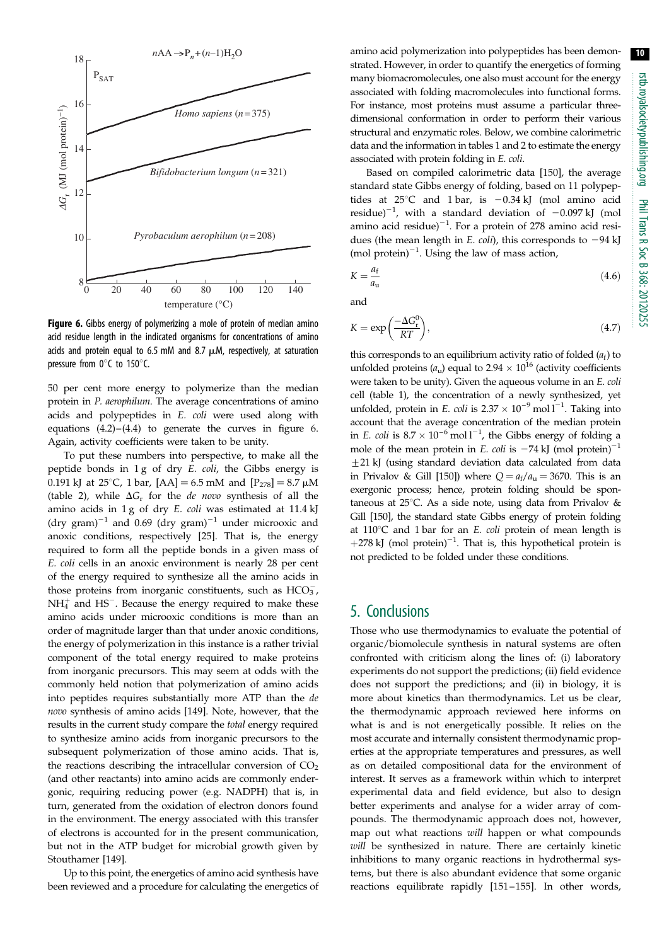$(4.6)$ 

<span id="page-9-0"></span>

Figure 6. Gibbs energy of polymerizing a mole of protein of median amino acid residue length in the indicated organisms for concentrations of amino acids and protein equal to 6.5 mM and 8.7  $\mu$ M, respectively, at saturation pressure from  $0^\circ$ C to 150 $^\circ$ C.

50 per cent more energy to polymerize than the median protein in P. aerophilum. The average concentrations of amino acids and polypeptides in E. coli were used along with equations  $(4.2)$ – $(4.4)$  to generate the curves in figure 6. Again, activity coefficients were taken to be unity.

To put these numbers into perspective, to make all the peptide bonds in 1g of dry E. coli, the Gibbs energy is 0.191 kJ at 25°C, 1 bar, [AA] = 6.5 mM and  $[P_{278}] = 8.7 \mu M$ [\(table 2](#page-8-0)), while  $\Delta G_r$  for the *de novo* synthesis of all the amino acids in 1 g of dry E. coli was estimated at 11.4 kJ (dry gram)<sup>-1</sup> and 0.69 (dry gram)<sup>-1</sup> under microoxic and anoxic conditions, respectively [\[25](#page-10-0)]. That is, the energy required to form all the peptide bonds in a given mass of E. coli cells in an anoxic environment is nearly 28 per cent of the energy required to synthesize all the amino acids in those proteins from inorganic constituents, such as  $HCO_3^-$ ,  $NH<sub>4</sub><sup>+</sup>$  and HS<sup>-</sup>. Because the energy required to make these amino acids under microoxic conditions is more than an order of magnitude larger than that under anoxic conditions, the energy of polymerization in this instance is a rather trivial component of the total energy required to make proteins from inorganic precursors. This may seem at odds with the commonly held notion that polymerization of amino acids into peptides requires substantially more ATP than the de novo synthesis of amino acids [[149](#page-14-0)]. Note, however, that the results in the current study compare the total energy required to synthesize amino acids from inorganic precursors to the subsequent polymerization of those amino acids. That is, the reactions describing the intracellular conversion of  $CO<sub>2</sub>$ (and other reactants) into amino acids are commonly endergonic, requiring reducing power (e.g. NADPH) that is, in turn, generated from the oxidation of electron donors found in the environment. The energy associated with this transfer of electrons is accounted for in the present communication, but not in the ATP budget for microbial growth given by Stouthamer [\[149\]](#page-14-0).

Up to this point, the energetics of amino acid synthesis have been reviewed and a procedure for calculating the energetics of amino acid polymerization into polypeptides has been demonstrated. However, in order to quantify the energetics of forming many biomacromolecules, one also must account for the energy associated with folding macromolecules into functional forms. For instance, most proteins must assume a particular threedimensional conformation in order to perform their various structural and enzymatic roles. Below, we combine calorimetric data and the information in tables [1](#page-8-0) and [2](#page-8-0) to estimate the energy associated with protein folding in E. coli.

Based on compiled calorimetric data [\[150\]](#page-14-0), the average standard state Gibbs energy of folding, based on 11 polypeptides at  $25^{\circ}$ C and 1 bar, is  $-0.34$  kJ (mol amino acid residue)<sup>-1</sup>, with a standard deviation of  $-0.097$  kJ (mol amino acid residue) $^{-1}$ . For a protein of 278 amino acid residues (the mean length in E. coli), this corresponds to  $-94$  kJ (mol protein) $^{-1}$ . Using the law of mass action,

$$
K = \frac{a_f}{a_u}
$$

and

$$
K = \exp\left(\frac{-\Delta G_{\rm r}^0}{RT}\right),\tag{4.7}
$$

this corresponds to an equilibrium activity ratio of folded  $(a<sub>f</sub>)$  to unfolded proteins ( $a<sub>u</sub>$ ) equal to 2.94  $\times$  10<sup>16</sup> (activity coefficients were taken to be unity). Given the aqueous volume in an E. coli cell ([table 1](#page-8-0)), the concentration of a newly synthesized, yet unfolded, protein in E. coli is  $2.37 \times 10^{-9}$  mol  $l^{-1}$ . Taking into account that the average concentration of the median protein in *E. coli* is  $8.7 \times 10^{-6}$  mol  $1^{-1}$ , the Gibbs energy of folding a mole of the mean protein in E. coli is  $-74$  kJ (mol protein)<sup>-1</sup>  $\pm$  21 kJ (using standard deviation data calculated from data in Privalov & Gill [[150\]](#page-14-0)) where  $Q = a_f/a_u = 3670$ . This is an exergonic process; hence, protein folding should be spontaneous at 25°C. As a side note, using data from Privalov  $\&$ Gill [\[150](#page-14-0)], the standard state Gibbs energy of protein folding at  $110^{\circ}$ C and 1 bar for an *E. coli* protein of mean length is +278 kJ (mol protein) $^{-1}$ . That is, this hypothetical protein is not predicted to be folded under these conditions.

## 5. Conclusions

Those who use thermodynamics to evaluate the potential of organic/biomolecule synthesis in natural systems are often confronted with criticism along the lines of: (i) laboratory experiments do not support the predictions; (ii) field evidence does not support the predictions; and (ii) in biology, it is more about kinetics than thermodynamics. Let us be clear, the thermodynamic approach reviewed here informs on what is and is not energetically possible. It relies on the most accurate and internally consistent thermodynamic properties at the appropriate temperatures and pressures, as well as on detailed compositional data for the environment of interest. It serves as a framework within which to interpret experimental data and field evidence, but also to design better experiments and analyse for a wider array of compounds. The thermodynamic approach does not, however, map out what reactions will happen or what compounds will be synthesized in nature. There are certainly kinetic inhibitions to many organic reactions in hydrothermal systems, but there is also abundant evidence that some organic reactions equilibrate rapidly [\[151](#page-14-0) –[155](#page-14-0)]. In other words,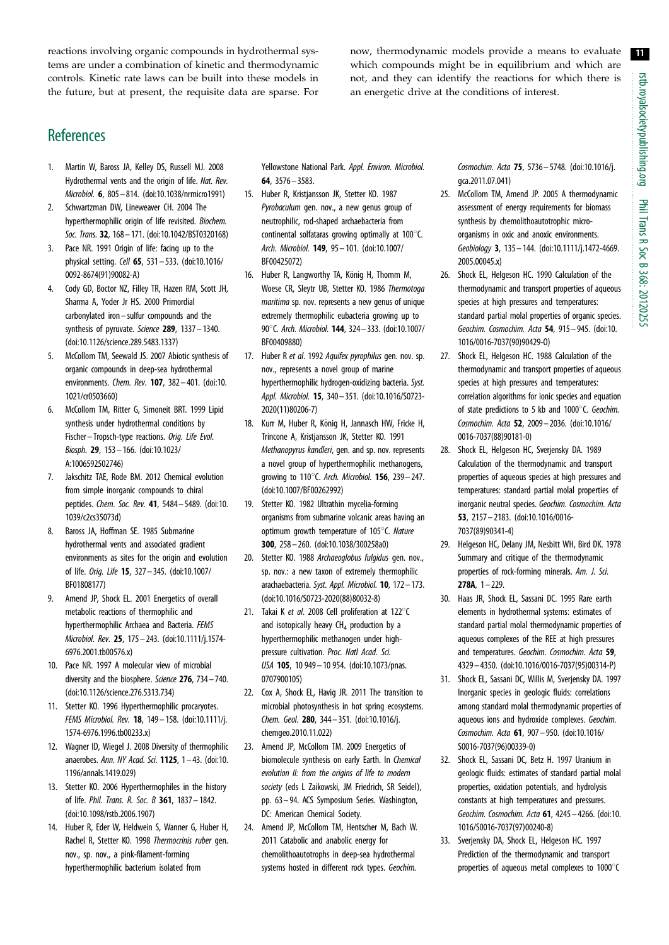rstb.royalsocietypublishing.org PhilTrans R Soc B 368: 20120255

11

<span id="page-10-0"></span>reactions involving organic compounds in hydrothermal systems are under a combination of kinetic and thermodynamic controls. Kinetic rate laws can be built into these models in the future, but at present, the requisite data are sparse. For now, thermodynamic models provide a means to evaluate which compounds might be in equilibrium and which are not, and they can identify the reactions for which there is an energetic drive at the conditions of interest.

## **References**

- 1. Martin W, Baross JA, Kelley DS, Russell MJ. 2008 Hydrothermal vents and the origin of life. Nat. Rev. Microbiol. 6, 805 – 814. [\(doi:10.1038/nrmicro1991](http://dx.doi.org/10.1038/nrmicro1991))
- 2. Schwartzman DW, Lineweaver CH. 2004 The hyperthermophilic origin of life revisited. Biochem. Soc. Trans. 32, 168– 171. ([doi:10.1042/BST0320168\)](http://dx.doi.org/10.1042/BST0320168)
- 3. Pace NR. 1991 Origin of life: facing up to the physical setting. Cell 65, 531– 533. [\(doi:10.1016/](http://dx.doi.org/10.1016/0092-8674(91)90082-A) [0092-8674\(91\)90082-A\)](http://dx.doi.org/10.1016/0092-8674(91)90082-A)
- 4. Cody GD, Boctor NZ, Filley TR, Hazen RM, Scott JH, Sharma A, Yoder Jr HS. 2000 Primordial carbonylated iron–sulfur compounds and the synthesis of pyruvate. Science 289, 1337 - 1340. [\(doi:10.1126/science.289.5483.1337](http://dx.doi.org/10.1126/science.289.5483.1337))
- 5. McCollom TM, Seewald JS. 2007 Abiotic synthesis of organic compounds in deep-sea hydrothermal environments. Chem. Rev. 107, 382– 401. [\(doi:10.](http://dx.doi.org/10.1021/cr0503660) [1021/cr0503660](http://dx.doi.org/10.1021/cr0503660))
- 6. McCollom TM, Ritter G, Simoneit BRT. 1999 Lipid synthesis under hydrothermal conditions by Fischer– Tropsch-type reactions. Orig. Life Evol. Biosph. 29, 153– 166. [\(doi:10.1023/](http://dx.doi.org/10.1023/A:1006592502746) [A:1006592502746](http://dx.doi.org/10.1023/A:1006592502746))
- 7. Jakschitz TAE, Rode BM. 2012 Chemical evolution from simple inorganic compounds to chiral peptides. Chem. Soc. Rev. 41, 5484– 5489. ([doi:10.](http://dx.doi.org/10.1039/c2cs35073d) [1039/c2cs35073d\)](http://dx.doi.org/10.1039/c2cs35073d)
- 8. Baross JA, Hoffman SE. 1985 Submarine hydrothermal vents and associated gradient environments as sites for the origin and evolution of life. Orig. Life 15, 327– 345. [\(doi:10.1007/](http://dx.doi.org/10.1007/BF01808177) [BF01808177\)](http://dx.doi.org/10.1007/BF01808177)
- 9. Amend JP, Shock EL. 2001 Energetics of overall metabolic reactions of thermophilic and hyperthermophilic Archaea and Bacteria. FEMS Microbiol. Rev. 25, 175 – 243. [\(doi:10.1111/j.1574-](http://dx.doi.org/10.1111/j.1574-6976.2001.tb00576.x) [6976.2001.tb00576.x\)](http://dx.doi.org/10.1111/j.1574-6976.2001.tb00576.x)
- 10. Pace NR. 1997 A molecular view of microbial diversity and the biosphere. Science 276, 734-740. [\(doi:10.1126/science.276.5313.734](http://dx.doi.org/10.1126/science.276.5313.734))
- 11. Stetter KO. 1996 Hyperthermophilic procaryotes. FEMS Microbiol. Rev. 18, 149– 158. [\(doi:10.1111/j.](http://dx.doi.org/10.1111/j.1574-6976.1996.tb00233.x) [1574-6976.1996.tb00233.x\)](http://dx.doi.org/10.1111/j.1574-6976.1996.tb00233.x)
- 12. Wagner ID, Wiegel J. 2008 Diversity of thermophilic anaerobes. Ann. NY Acad. Sci. 1125, 1-43. ([doi:10.](http://dx.doi.org/10.1196/annals.1419.029) [1196/annals.1419.029\)](http://dx.doi.org/10.1196/annals.1419.029)
- 13. Stetter KO. 2006 Hyperthermophiles in the history of life. Phil. Trans. R. Soc. B 361, 1837 – 1842. [\(doi:10.1098/rstb.2006.1907\)](http://dx.doi.org/10.1098/rstb.2006.1907)
- 14. Huber R, Eder W, Heldwein S, Wanner G, Huber H, Rachel R, Stetter KO. 1998 Thermocrinis ruber gen. nov., sp. nov., a pink-filament-forming hyperthermophilic bacterium isolated from

Yellowstone National Park. Appl. Environ. Microbiol. 64, 3576 – 3583.

- 15. Huber R, Kristjansson JK, Stetter KO. 1987 Pyrobaculum gen. nov., a new genus group of neutrophilic, rod-shaped archaebacteria from continental solfataras growing optimally at  $100^{\circ}$ C. Arch. Microbiol. 149, 95– 101. ([doi:10.1007/](http://dx.doi.org/10.1007/BF00425072) [BF00425072\)](http://dx.doi.org/10.1007/BF00425072)
- 16. Huber R, Langworthy TA, König H, Thomm M, Woese CR, Sleytr UB, Stetter KO. 1986 Thermotoga maritima sp. nov. represents a new genus of unique extremely thermophilic eubacteria growing up to 90°C. Arch. Microbiol. **144**, 324 - 333. [\(doi:10.1007/](http://dx.doi.org/10.1007/BF00409880) [BF00409880\)](http://dx.doi.org/10.1007/BF00409880)
- 17. Huber R et al. 1992 Aquifex pyrophilus gen. nov. sp. nov., represents a novel group of marine hyperthermophilic hydrogen-oxidizing bacteria. Syst. Appl. Microbiol. 15, 340– 351. [\(doi:10.1016/S0723-](http://dx.doi.org/10.1016/S0723-2020(11)80206-7) [2020\(11\)80206-7](http://dx.doi.org/10.1016/S0723-2020(11)80206-7))
- 18. Kurr M, Huber R, König H, Jannasch HW, Fricke H, Trincone A, Kristjansson JK, Stetter KO. 1991 Methanopyrus kandleri, gen. and sp. nov. represents a novel group of hyperthermophilic methanogens, growing to 110 $\degree$ C. Arch. Microbiol. 156, 239 - 247. [\(doi:10.1007/BF00262992](http://dx.doi.org/10.1007/BF00262992))
- 19. Stetter KO. 1982 Ultrathin mycelia-forming organisms from submarine volcanic areas having an optimum growth temperature of  $105^{\circ}$ C. Nature 300, 258 – 260. [\(doi:10.1038/300258a0\)](http://dx.doi.org/10.1038/300258a0)
- 20. Stetter KO. 1988 Archaeoglobus fulgidus gen. nov., sp. nov.: a new taxon of extremely thermophilic arachaebacteria. Syst. Appl. Microbiol. 10, 172– 173. [\(doi:10.1016/S0723-2020\(88\)80032-8](http://dx.doi.org/10.1016/S0723-2020(88)80032-8))
- 21. Takai K et al. 2008 Cell proliferation at  $122^{\circ}$ C and isotopically heavy  $CH<sub>4</sub>$  production by a hyperthermophilic methanogen under highpressure cultivation. Proc. Natl Acad. Sci. USA 105, 10 949 – 10 954. [\(doi:10.1073/pnas.](http://dx.doi.org/10.1073/pnas.0707900105) [0707900105\)](http://dx.doi.org/10.1073/pnas.0707900105)
- 22. Cox A, Shock EL, Havig JR. 2011 The transition to microbial photosynthesis in hot spring ecosystems. Chem. Geol. 280, 344– 351. [\(doi:10.1016/j.](http://dx.doi.org/10.1016/j.chemgeo.2010.11.022) [chemgeo.2010.11.022](http://dx.doi.org/10.1016/j.chemgeo.2010.11.022))
- 23. Amend JP, McCollom TM. 2009 Energetics of biomolecule synthesis on early Earth. In Chemical evolution II: from the origins of life to modern society (eds L Zaikowski, JM Friedrich, SR Seidel), pp. 63– 94. ACS Symposium Series. Washington, DC: American Chemical Society.
- 24. Amend JP, McCollom TM, Hentscher M, Bach W. 2011 Catabolic and anabolic energy for chemolithoautotrophs in deep-sea hydrothermal systems hosted in different rock types. Geochim.

Cosmochim. Acta 75, 5736 – 5748. ([doi:10.1016/j.](http://dx.doi.org/10.1016/j.gca.2011.07.041) [gca.2011.07.041](http://dx.doi.org/10.1016/j.gca.2011.07.041))

- 25. McCollom TM, Amend JP. 2005 A thermodynamic assessment of energy requirements for biomass synthesis by chemolithoautotrophic microorganisms in oxic and anoxic environments. Geobiology 3, 135 – 144. [\(doi:10.1111/j.1472-4669.](http://dx.doi.org/10.1111/j.1472-4669.2005.00045.x) [2005.00045.x](http://dx.doi.org/10.1111/j.1472-4669.2005.00045.x))
- 26. Shock EL, Helgeson HC. 1990 Calculation of the thermodynamic and transport properties of aqueous species at high pressures and temperatures: standard partial molal properties of organic species. Geochim. Cosmochim. Acta 54, 915– 945. ([doi:10.](http://dx.doi.org/10.1016/0016-7037(90)90429-O) [1016/0016-7037\(90\)90429-O\)](http://dx.doi.org/10.1016/0016-7037(90)90429-O)
- 27. Shock EL, Helgeson HC. 1988 Calculation of the thermodynamic and transport properties of aqueous species at high pressures and temperatures: correlation algorithms for ionic species and equation of state predictions to 5 kb and  $1000^{\circ}$ C. Geochim. Cosmochim. Acta 52, 2009 – 2036. ([doi:10.1016/](http://dx.doi.org/10.1016/0016-7037(88)90181-0) [0016-7037\(88\)90181-0](http://dx.doi.org/10.1016/0016-7037(88)90181-0))
- 28. Shock EL, Helgeson HC, Sverjensky DA. 1989 Calculation of the thermodynamic and transport properties of aqueous species at high pressures and temperatures: standard partial molal properties of inorganic neutral species. Geochim. Cosmochim. Acta 53, 2157– 2183. [\(doi:10.1016/0016-](http://dx.doi.org/10.1016/0016-7037(89)90341-4) [7037\(89\)90341-4](http://dx.doi.org/10.1016/0016-7037(89)90341-4))
- 29. Helgeson HC, Delany JM, Nesbitt WH, Bird DK. 1978 Summary and critique of the thermodynamic properties of rock-forming minerals. Am. J. Sci.  $278A, 1-229.$
- 30. Haas JR, Shock EL, Sassani DC. 1995 Rare earth elements in hydrothermal systems: estimates of standard partial molal thermodynamic properties of aqueous complexes of the REE at high pressures and temperatures. Geochim. Cosmochim. Acta 59, 4329– 4350. ([doi:10.1016/0016-7037\(95\)00314-P](http://dx.doi.org/10.1016/0016-7037(95)00314-P))
- 31. Shock EL, Sassani DC, Willis M, Sverjensky DA. 1997 Inorganic species in geologic fluids: correlations among standard molal thermodynamic properties of aqueous ions and hydroxide complexes. Geochim. Cosmochim. Acta 61, 907 – 950. [\(doi:10.1016/](http://dx.doi.org/10.1016/S0016-7037(96)00339-0) [S0016-7037\(96\)00339-0](http://dx.doi.org/10.1016/S0016-7037(96)00339-0))
- 32. Shock EL, Sassani DC, Betz H. 1997 Uranium in geologic fluids: estimates of standard partial molal properties, oxidation potentials, and hydrolysis constants at high temperatures and pressures. Geochim. Cosmochim. Acta 61, 4245– 4266. [\(doi:10.](http://dx.doi.org/10.1016/S0016-7037(97)00240-8) [1016/S0016-7037\(97\)00240-8](http://dx.doi.org/10.1016/S0016-7037(97)00240-8))
- 33. Sverjensky DA, Shock EL, Helgeson HC. 1997 Prediction of the thermodynamic and transport properties of aqueous metal complexes to  $1000^{\circ}$ C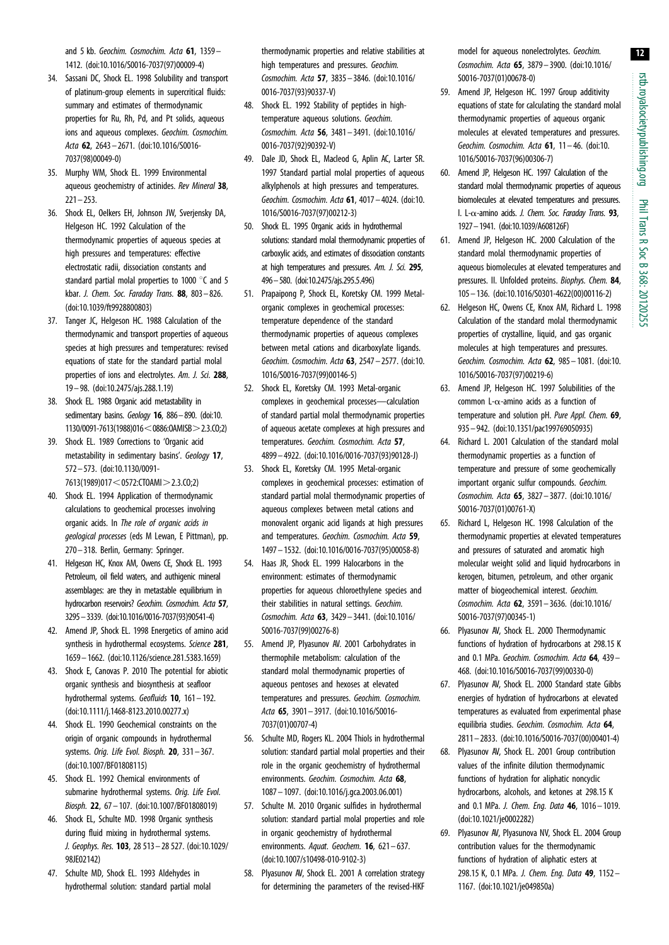rstb.royalsocietypublishing.org PhilTrans R Soc B 368: 20120255

12

<span id="page-11-0"></span>and 5 kb. Geochim. Cosmochim. Acta 61, 1359-1412. ([doi:10.1016/S0016-7037\(97\)00009-4\)](http://dx.doi.org/10.1016/S0016-7037(97)00009-4)

- 34. Sassani DC, Shock EL. 1998 Solubility and transport of platinum-group elements in supercritical fluids: summary and estimates of thermodynamic properties for Ru, Rh, Pd, and Pt solids, aqueous ions and aqueous complexes. Geochim. Cosmochim. Acta 62, 2643– 2671. [\(doi:10.1016/S0016-](http://dx.doi.org/10.1016/S0016-7037(98)00049-0) [7037\(98\)00049-0\)](http://dx.doi.org/10.1016/S0016-7037(98)00049-0)
- 35. Murphy WM, Shock EL. 1999 Environmental aqueous geochemistry of actinides. Rev Mineral 38,  $221 - 253$
- 36. Shock EL, Oelkers EH, Johnson JW, Sverjensky DA, Helgeson HC. 1992 Calculation of the thermodynamic properties of aqueous species at high pressures and temperatures: effective electrostatic radii, dissociation constants and standard partial molal properties to 1000  $\degree$ C and 5 kbar. J. Chem. Soc. Faraday Trans.  $88$ ,  $803 - 826$ . [\(doi:10.1039/ft9928800803\)](http://dx.doi.org/10.1039/ft9928800803)
- 37. Tanger JC, Helgeson HC. 1988 Calculation of the thermodynamic and transport properties of aqueous species at high pressures and temperatures: revised equations of state for the standard partial molal properties of ions and electrolytes. Am. J. Sci. 288, 19 – 98. ([doi:10.2475/ajs.288.1.19](http://dx.doi.org/10.2475/ajs.288.1.19))
- 38. Shock EL. 1988 Organic acid metastability in sedimentary basins. Geology 16, 886-890. [\(doi:10.](http://dx.doi.org/10.1130/0091-7613(1988)016%3C0886:OAMISB%3E2.3.CO;2)  $1130/0091 - 7613(1988)016 < 0886:0$ AMISB $>$ [2.3.CO;2\)](http://dx.doi.org/10.1130/0091-7613(1988)016%3C0886:OAMISB%3E2.3.CO;2)
- 39. Shock EL. 1989 Corrections to 'Organic acid metastability in sedimentary basins'. Geology 17, 572– 573. ([doi:10.1130/0091-](http://dx.doi.org/10.1130/0091-7613(1989)017%3C0572:CTOAMI%3E2.3.CO;2) [7613\(1989\)017](http://dx.doi.org/10.1130/0091-7613(1989)017%3C0572:CTOAMI%3E2.3.CO;2) < 0572:CTOAMI > [2.3.CO;2\)](http://dx.doi.org/10.1130/0091-7613(1989)017%3C0572:CTOAMI%3E2.3.CO;2)
- 40. Shock EL. 1994 Application of thermodynamic calculations to geochemical processes involving organic acids. In The role of organic acids in geological processes (eds M Lewan, E Pittman), pp. 270– 318. Berlin, Germany: Springer.
- 41. Helgeson HC, Knox AM, Owens CE, Shock EL. 1993 Petroleum, oil field waters, and authigenic mineral assemblages: are they in metastable equilibrium in hydrocarbon reservoirs? Geochim. Cosmochim. Acta 57, 3295–3339. [\(doi:10.1016/0016-7037\(93\)90541-4\)](http://dx.doi.org/10.1016/0016-7037(93)90541-4)
- 42. Amend JP, Shock EL. 1998 Energetics of amino acid synthesis in hydrothermal ecosystems. Science 281, 1659 – 1662. [\(doi:10.1126/science.281.5383.1659](http://dx.doi.org/10.1126/science.281.5383.1659))
- 43. Shock E, Canovas P. 2010 The potential for abiotic organic synthesis and biosynthesis at seafloor hydrothermal systems. Geofluids 10, 161-192. [\(doi:10.1111/j.1468-8123.2010.00277.x](http://dx.doi.org/10.1111/j.1468-8123.2010.00277.x))
- 44. Shock EL. 1990 Geochemical constraints on the origin of organic compounds in hydrothermal systems. Orig. Life Evol. Biosph. 20, 331 – 367. [\(doi:10.1007/BF01808115\)](http://dx.doi.org/10.1007/BF01808115)
- 45. Shock EL. 1992 Chemical environments of submarine hydrothermal systems. Orig. Life Evol. Biosph. 22, 67 – 107. ([doi:10.1007/BF01808019](http://dx.doi.org/10.1007/BF01808019))
- 46. Shock EL, Schulte MD. 1998 Organic synthesis during fluid mixing in hydrothermal systems. J. Geophys. Res. 103, 28 513– 28 527. ([doi:10.1029/](http://dx.doi.org/10.1029/98JE02142) [98JE02142](http://dx.doi.org/10.1029/98JE02142))
- 47. Schulte MD, Shock EL. 1993 Aldehydes in hydrothermal solution: standard partial molal

thermodynamic properties and relative stabilities at high temperatures and pressures. Geochim. Cosmochim. Acta 57, 3835– 3846. ([doi:10.1016/](http://dx.doi.org/10.1016/0016-7037(93)90337-V) [0016-7037\(93\)90337-V\)](http://dx.doi.org/10.1016/0016-7037(93)90337-V)

- 48. Shock EL. 1992 Stability of peptides in hightemperature aqueous solutions. Geochim. Cosmochim. Acta 56, 3481– 3491. ([doi:10.1016/](http://dx.doi.org/10.1016/0016-7037(92)90392-V) [0016-7037\(92\)90392-V\)](http://dx.doi.org/10.1016/0016-7037(92)90392-V)
- 49. Dale JD, Shock EL, Macleod G, Aplin AC, Larter SR. 1997 Standard partial molal properties of aqueous alkylphenols at high pressures and temperatures. Geochim. Cosmochim. Acta 61, 4017– 4024. [\(doi:10.](http://dx.doi.org/10.1016/S0016-7037(97)00212-3) [1016/S0016-7037\(97\)00212-3](http://dx.doi.org/10.1016/S0016-7037(97)00212-3))
- 50. Shock EL. 1995 Organic acids in hydrothermal solutions: standard molal thermodynamic properties of carboxylic acids, and estimates of dissociation constants at high temperatures and pressures. Am. J. Sci. 295, 496–580. [\(doi:10.2475/ajs.295.5.496](http://dx.doi.org/10.2475/ajs.295.5.496))
- 51. Prapaipong P, Shock EL, Koretsky CM. 1999 Metalorganic complexes in geochemical processes: temperature dependence of the standard thermodynamic properties of aqueous complexes between metal cations and dicarboxylate ligands. Geochim. Cosmochim. Acta 63, 2547– 2577. [\(doi:10.](http://dx.doi.org/10.1016/S0016-7037(99)00146-5) [1016/S0016-7037\(99\)00146-5](http://dx.doi.org/10.1016/S0016-7037(99)00146-5))
- 52. Shock EL, Koretsky CM. 1993 Metal-organic complexes in geochemical processes—calculation of standard partial molal thermodynamic properties of aqueous acetate complexes at high pressures and temperatures. Geochim. Cosmochim. Acta 57, 4899 – 4922. [\(doi:10.1016/0016-7037\(93\)90128-J\)](http://dx.doi.org/10.1016/0016-7037(93)90128-J)
- 53. Shock EL, Koretsky CM. 1995 Metal-organic complexes in geochemical processes: estimation of standard partial molal thermodynamic properties of aqueous complexes between metal cations and monovalent organic acid ligands at high pressures and temperatures. Geochim. Cosmochim. Acta 59, 1497 – 1532. [\(doi:10.1016/0016-7037\(95\)00058-8\)](http://dx.doi.org/10.1016/0016-7037(95)00058-8)
- 54. Haas JR, Shock EL. 1999 Halocarbons in the environment: estimates of thermodynamic properties for aqueous chloroethylene species and their stabilities in natural settings. Geochim. Cosmochim. Acta 63, 3429– 3441. ([doi:10.1016/](http://dx.doi.org/10.1016/S0016-7037(99)00276-8) [S0016-7037\(99\)00276-8](http://dx.doi.org/10.1016/S0016-7037(99)00276-8))
- 55. Amend JP, Plyasunov AV. 2001 Carbohydrates in thermophile metabolism: calculation of the standard molal thermodynamic properties of aqueous pentoses and hexoses at elevated temperatures and pressures. Geochim. Cosmochim. Acta 65, 3901-3917. [\(doi:10.1016/S0016-](http://dx.doi.org/10.1016/S0016-7037(01)00707-4) [7037\(01\)00707-4](http://dx.doi.org/10.1016/S0016-7037(01)00707-4))
- 56. Schulte MD, Rogers KL. 2004 Thiols in hydrothermal solution: standard partial molal properties and their role in the organic geochemistry of hydrothermal environments. Geochim. Cosmochim. Acta 68, 1087– 1097. [\(doi:10.1016/j.gca.2003.06.001\)](http://dx.doi.org/10.1016/j.gca.2003.06.001)
- 57. Schulte M. 2010 Organic sulfides in hydrothermal solution: standard partial molal properties and role in organic geochemistry of hydrothermal environments. Aquat. Geochem.  $16$ , 621-637. [\(doi:10.1007/s10498-010-9102-3](http://dx.doi.org/10.1007/s10498-010-9102-3))
- 58. Plyasunov AV, Shock EL. 2001 A correlation strategy for determining the parameters of the revised-HKF

model for aqueous nonelectrolytes. Geochim. Cosmochim. Acta 65, 3879 – 3900. ([doi:10.1016/](http://dx.doi.org/10.1016/S0016-7037(01)00678-0) [S0016-7037\(01\)00678-0](http://dx.doi.org/10.1016/S0016-7037(01)00678-0))

- 59. Amend JP, Helgeson HC. 1997 Group additivity equations of state for calculating the standard molal thermodynamic properties of aqueous organic molecules at elevated temperatures and pressures. Geochim. Cosmochim. Acta  $61$ , 11-46. ([doi:10.](http://dx.doi.org/10.1016/S0016-7037(96)00306-7) [1016/S0016-7037\(96\)00306-7](http://dx.doi.org/10.1016/S0016-7037(96)00306-7))
- 60. Amend JP, Helgeson HC. 1997 Calculation of the standard molal thermodynamic properties of aqueous biomolecules at elevated temperatures and pressures. I. L- $\alpha$ -amino acids. J. Chem. Soc. Faraday Trans. 93, 1927–1941. [\(doi:10.1039/A608126F](http://dx.doi.org/10.1039/A608126F))
- 61. Amend JP, Helgeson HC. 2000 Calculation of the standard molal thermodynamic properties of aqueous biomolecules at elevated temperatures and pressures. II. Unfolded proteins. Biophys. Chem. 84, 105– 136. [\(doi:10.1016/S0301-4622\(00\)00116-2](http://dx.doi.org/10.1016/S0301-4622(00)00116-2))
- 62. Helgeson HC, Owens CE, Knox AM, Richard L. 1998 Calculation of the standard molal thermodynamic properties of crystalline, liquid, and gas organic molecules at high temperatures and pressures. Geochim. Cosmochim. Acta 62, 985– 1081. [\(doi:10.](http://dx.doi.org/10.1016/S0016-7037(97)00219-6) [1016/S0016-7037\(97\)00219-6](http://dx.doi.org/10.1016/S0016-7037(97)00219-6))
- 63. Amend JP, Helgeson HC. 1997 Solubilities of the common L- $\alpha$ -amino acids as a function of temperature and solution pH. Pure Appl. Chem. 69, 935– 942. [\(doi:10.1351/pac199769050935](http://dx.doi.org/10.1351/pac199769050935))
- 64. Richard L. 2001 Calculation of the standard molal thermodynamic properties as a function of temperature and pressure of some geochemically important organic sulfur compounds. Geochim. Cosmochim. Acta 65, 3827 – 3877. ([doi:10.1016/](http://dx.doi.org/10.1016/S0016-7037(01)00761-X) [S0016-7037\(01\)00761-X](http://dx.doi.org/10.1016/S0016-7037(01)00761-X))
- 65. Richard L, Helgeson HC. 1998 Calculation of the thermodynamic properties at elevated temperatures and pressures of saturated and aromatic high molecular weight solid and liquid hydrocarbons in kerogen, bitumen, petroleum, and other organic matter of biogeochemical interest. Geochim. Cosmochim. Acta 62, 3591 – 3636. ([doi:10.1016/](http://dx.doi.org/10.1016/S0016-7037(97)00345-1) [S0016-7037\(97\)00345-1](http://dx.doi.org/10.1016/S0016-7037(97)00345-1))
- 66. Plyasunov AV, Shock EL. 2000 Thermodynamic functions of hydration of hydrocarbons at 298.15 K and 0.1 MPa. Geochim. Cosmochim. Acta 64, 439– 468. ([doi:10.1016/S0016-7037\(99\)00330-0\)](http://dx.doi.org/10.1016/S0016-7037(99)00330-0)
- 67. Plyasunov AV, Shock EL. 2000 Standard state Gibbs energies of hydration of hydrocarbons at elevated temperatures as evaluated from experimental phase equilibria studies. Geochim. Cosmochim. Acta 64. 2811– 2833. ([doi:10.1016/S0016-7037\(00\)00401-4](http://dx.doi.org/10.1016/S0016-7037(00)00401-4))
- 68. Plyasunov AV, Shock EL. 2001 Group contribution values of the infinite dilution thermodynamic functions of hydration for aliphatic noncyclic hydrocarbons, alcohols, and ketones at 298.15 K and 0.1 MPa. J. Chem. Eng. Data 46, 1016 – 1019. ([doi:10.1021/je0002282](http://dx.doi.org/10.1021/je0002282))
- 69. Plyasunov AV, Plyasunova NV, Shock EL. 2004 Group contribution values for the thermodynamic functions of hydration of aliphatic esters at 298.15 K, 0.1 MPa. J. Chem. Eng. Data 49, 1152-1167. [\(doi:10.1021/je049850a](http://dx.doi.org/10.1021/je049850a))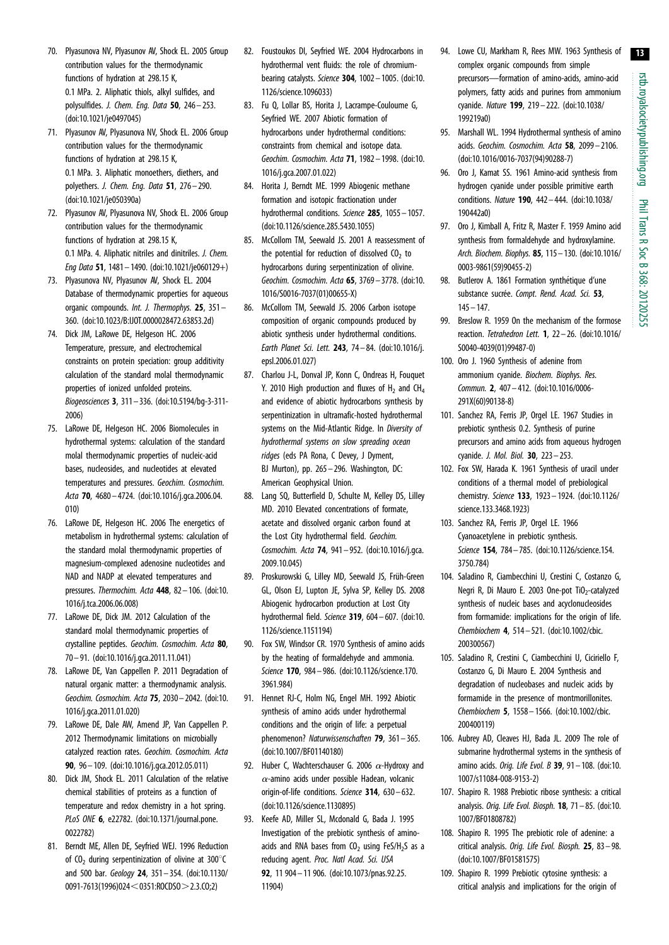- <span id="page-12-0"></span>70. Plyasunova NV, Plyasunov AV, Shock EL. 2005 Group contribution values for the thermodynamic functions of hydration at 298.15 K, 0.1 MPa. 2. Aliphatic thiols, alkyl sulfides, and polysulfides. J. Chem. Eng. Data 50, 246– 253. [\(doi:10.1021/je0497045](http://dx.doi.org/10.1021/je0497045))
- 71. Plyasunov AV, Plyasunova NV, Shock EL. 2006 Group contribution values for the thermodynamic functions of hydration at 298.15 K, 0.1 MPa. 3. Aliphatic monoethers, diethers, and polyethers. J. Chem. Eng. Data 51, 276– 290. [\(doi:10.1021/je050390a](http://dx.doi.org/10.1021/je050390a))
- 72. Plyasunov AV, Plyasunova NV, Shock EL. 2006 Group contribution values for the thermodynamic functions of hydration at 298.15 K, 0.1 MPa. 4. Aliphatic nitriles and dinitriles. J. Chem. Eng Data 51, 1481 - 1490. ([doi:10.1021/je060129+\)](http://dx.doi.org/10.1021/je060129+)
- 73. Plyasunova NV, Plyasunov AV, Shock EL. 2004 Database of thermodynamic properties for aqueous organic compounds. Int. J. Thermophys. 25, 351– 360. [\(doi:10.1023/B:IJOT.0000028472.63853.2d](http://dx.doi.org/10.1023/B:IJOT.0000028472.63853.2d))
- 74. Dick JM, LaRowe DE, Helgeson HC. 2006 Temperature, pressure, and electrochemical constraints on protein speciation: group additivity calculation of the standard molal thermodynamic properties of ionized unfolded proteins. Biogeosciences 3, 311– 336. ([doi:10.5194/bg-3-311-](http://dx.doi.org/10.5194/bg-3-311-2006) [2006\)](http://dx.doi.org/10.5194/bg-3-311-2006)
- 75. LaRowe DE, Helgeson HC. 2006 Biomolecules in hydrothermal systems: calculation of the standard molal thermodynamic properties of nucleic-acid bases, nucleosides, and nucleotides at elevated temperatures and pressures. Geochim. Cosmochim. Acta 70, 4680– 4724. [\(doi:10.1016/j.gca.2006.04.](http://dx.doi.org/10.1016/j.gca.2006.04.010) [010](http://dx.doi.org/10.1016/j.gca.2006.04.010))
- 76. LaRowe DE, Helgeson HC. 2006 The energetics of metabolism in hydrothermal systems: calculation of the standard molal thermodynamic properties of magnesium-complexed adenosine nucleotides and NAD and NADP at elevated temperatures and pressures. Thermochim. Acta 448, 82 – 106. ([doi:10.](http://dx.doi.org/10.1016/j.tca.2006.06.008) [1016/j.tca.2006.06.008\)](http://dx.doi.org/10.1016/j.tca.2006.06.008)
- 77. LaRowe DE, Dick JM. 2012 Calculation of the standard molal thermodynamic properties of crystalline peptides. Geochim. Cosmochim. Acta 80, 70 – 91. ([doi:10.1016/j.gca.2011.11.041\)](http://dx.doi.org/10.1016/j.gca.2011.11.041)
- 78. LaRowe DE, Van Cappellen P. 2011 Degradation of natural organic matter: a thermodynamic analysis. Geochim. Cosmochim. Acta 75, 2030– 2042. ([doi:10.](http://dx.doi.org/10.1016/j.gca.2011.01.020) [1016/j.gca.2011.01.020](http://dx.doi.org/10.1016/j.gca.2011.01.020))
- 79. LaRowe DE, Dale AW, Amend JP, Van Cappellen P. 2012 Thermodynamic limitations on microbially catalyzed reaction rates. Geochim. Cosmochim. Acta 90, 96 – 109. [\(doi:10.1016/j.gca.2012.05.011](http://dx.doi.org/10.1016/j.gca.2012.05.011))
- 80. Dick JM, Shock EL. 2011 Calculation of the relative chemical stabilities of proteins as a function of temperature and redox chemistry in a hot spring. PLoS ONE 6, e22782. [\(doi:10.1371/journal.pone.](http://dx.doi.org/10.1371/journal.pone.0022782) [0022782\)](http://dx.doi.org/10.1371/journal.pone.0022782)
- 81. Berndt ME, Allen DE, Seyfried WEJ. 1996 Reduction of CO<sub>2</sub> during serpentinization of olivine at 300 $^{\circ}$ C and 500 bar. Geology 24, 351– 354. [\(doi:10.1130/](http://dx.doi.org/10.1130/0091-7613(1996)024%3C0351:ROCDSO%3E2.3.CO;2) [0091-7613\(1996\)024](http://dx.doi.org/10.1130/0091-7613(1996)024%3C0351:ROCDSO%3E2.3.CO;2) < 0351:ROCDSO > [2.3.CO;2\)](http://dx.doi.org/10.1130/0091-7613(1996)024%3C0351:ROCDSO%3E2.3.CO;2)
- 82. Foustoukos DI, Seyfried WE. 2004 Hydrocarbons in hydrothermal vent fluids: the role of chromiumbearing catalysts. Science 304, 1002– 1005. [\(doi:10.](http://dx.doi.org/10.1126/science.1096033) [1126/science.1096033](http://dx.doi.org/10.1126/science.1096033))
- 83. Fu Q, Lollar BS, Horita J, Lacrampe-Couloume G, Seyfried WE. 2007 Abiotic formation of hydrocarbons under hydrothermal conditions: constraints from chemical and isotope data. Geochim. Cosmochim. Acta 71, 1982– 1998. [\(doi:10.](http://dx.doi.org/10.1016/j.gca.2007.01.022) [1016/j.gca.2007.01.022\)](http://dx.doi.org/10.1016/j.gca.2007.01.022)
- 84. Horita J, Berndt ME. 1999 Abiogenic methane formation and isotopic fractionation under hydrothermal conditions. Science 285, 1055 - 1057. [\(doi:10.1126/science.285.5430.1055](http://dx.doi.org/10.1126/science.285.5430.1055))
- 85. McCollom TM, Seewald JS. 2001 A reassessment of the potential for reduction of dissolved  $CO<sub>2</sub>$  to hydrocarbons during serpentinization of olivine. Geochim. Cosmochim. Acta 65, 3769– 3778. [\(doi:10.](http://dx.doi.org/10.1016/S0016-7037(01)00655-X) [1016/S0016-7037\(01\)00655-X](http://dx.doi.org/10.1016/S0016-7037(01)00655-X))
- 86. McCollom TM, Seewald JS. 2006 Carbon isotope composition of organic compounds produced by abiotic synthesis under hydrothermal conditions. Earth Planet Sci. Lett. 243, 74 – 84. ([doi:10.1016/j.](http://dx.doi.org/10.1016/j.epsl.2006.01.027) [epsl.2006.01.027](http://dx.doi.org/10.1016/j.epsl.2006.01.027))
- 87. Charlou J-L, Donval JP, Konn C, Ondreas H, Fouquet Y. 2010 High production and fluxes of  $H_2$  and CH<sub>4</sub> and evidence of abiotic hydrocarbons synthesis by serpentinization in ultramafic-hosted hydrothermal systems on the Mid-Atlantic Ridge. In Diversity of hydrothermal systems on slow spreading ocean ridges (eds PA Rona, C Devey, J Dyment, BJ Murton), pp. 265 – 296. Washington, DC: American Geophysical Union.
- 88. Lang SQ, Butterfield D, Schulte M, Kelley DS, Lilley MD. 2010 Elevated concentrations of formate, acetate and dissolved organic carbon found at the Lost City hydrothermal field. Geochim. Cosmochim. Acta 74, 941– 952. [\(doi:10.1016/j.gca.](http://dx.doi.org/10.1016/j.gca.2009.10.045) [2009.10.045\)](http://dx.doi.org/10.1016/j.gca.2009.10.045)
- 89. Proskurowski G, Lilley MD, Seewald JS, Früh-Green GL, Olson EJ, Lupton JE, Sylva SP, Kelley DS. 2008 Abiogenic hydrocarbon production at Lost City hydrothermal field. Science 319, 604 - 607. [\(doi:10.](http://dx.doi.org/10.1126/science.1151194) [1126/science.1151194](http://dx.doi.org/10.1126/science.1151194))
- 90. Fox SW, Windsor CR. 1970 Synthesis of amino acids by the heating of formaldehyde and ammonia. Science 170, 984 – 986. [\(doi:10.1126/science.170.](http://dx.doi.org/10.1126/science.170.3961.984) [3961.984](http://dx.doi.org/10.1126/science.170.3961.984))
- 91. Hennet RJ-C, Holm NG, Engel MH. 1992 Abiotic synthesis of amino acids under hydrothermal conditions and the origin of life: a perpetual phenomenon? Naturwissenschaften 79, 361– 365. [\(doi:10.1007/BF01140180](http://dx.doi.org/10.1007/BF01140180))
- 92. Huber C, Wachterschauser G. 2006  $\alpha$ -Hydroxy and  $\alpha$ -amino acids under possible Hadean, volcanic origin-of-life conditions. Science 314, 630-632. [\(doi:10.1126/science.1130895](http://dx.doi.org/10.1126/science.1130895))
- 93. Keefe AD, Miller SL, Mcdonald G, Bada J. 1995 Investigation of the prebiotic synthesis of aminoacids and RNA bases from  $CO<sub>2</sub>$  using FeS/H<sub>2</sub>S as a reducing agent. Proc. Natl Acad. Sci. USA 92, 11 904– 11 906. ([doi:10.1073/pnas.92.25.](http://dx.doi.org/10.1073/pnas.92.25.11904) [11904\)](http://dx.doi.org/10.1073/pnas.92.25.11904)
- 94. Lowe CU, Markham R, Rees MW. 1963 Synthesis of complex organic compounds from simple precursors—formation of amino-acids, amino-acid polymers, fatty acids and purines from ammonium cyanide. Nature 199, 219 – 222. [\(doi:10.1038/](http://dx.doi.org/10.1038/199219a0) [199219a0](http://dx.doi.org/10.1038/199219a0))
- 95. Marshall WL. 1994 Hydrothermal synthesis of amino acids. Geochim. Cosmochim. Acta 58, 2099 – 2106. ([doi:10.1016/0016-7037\(94\)90288-7\)](http://dx.doi.org/10.1016/0016-7037(94)90288-7)
- 96. Oro J, Kamat SS. 1961 Amino-acid synthesis from hydrogen cyanide under possible primitive earth conditions. Nature 190, 442– 444. ([doi:10.1038/](http://dx.doi.org/10.1038/190442a0) [190442a0](http://dx.doi.org/10.1038/190442a0))
- 97. Oro J, Kimball A, Fritz R, Master F. 1959 Amino acid synthesis from formaldehyde and hydroxylamine. Arch. Biochem. Biophys. 85, 115– 130. [\(doi:10.1016/](http://dx.doi.org/10.1016/0003-9861(59)90455-2) [0003-9861\(59\)90455-2](http://dx.doi.org/10.1016/0003-9861(59)90455-2))
- 98. Butlerov A. 1861 Formation synthétique d'une substance sucrée. Compt. Rend. Acad. Sci. 53,  $145 - 147$
- 99. Breslow R. 1959 On the mechanism of the formose reaction. Tetrahedron Lett. 1, 22 – 26. [\(doi:10.1016/](http://dx.doi.org/10.1016/S0040-4039(01)99487-0) [S0040-4039\(01\)99487-0](http://dx.doi.org/10.1016/S0040-4039(01)99487-0))
- 100. Oro J. 1960 Synthesis of adenine from ammonium cyanide. Biochem. Biophys. Res. Commun. 2, 407– 412. [\(doi:10.1016/0006-](http://dx.doi.org/10.1016/0006-291X(60)90138-8) [291X\(60\)90138-8](http://dx.doi.org/10.1016/0006-291X(60)90138-8))
- 101. Sanchez RA, Ferris JP, Orgel LE. 1967 Studies in prebiotic synthesis 0.2. Synthesis of purine precursors and amino acids from aqueous hydrogen cyanide. *J. Mol. Biol.* **30**, 223-253.
- 102. Fox SW, Harada K. 1961 Synthesis of uracil under conditions of a thermal model of prebiological chemistry. Science 133, 1923 – 1924. ([doi:10.1126/](http://dx.doi.org/10.1126/science.133.3468.1923) [science.133.3468.1923](http://dx.doi.org/10.1126/science.133.3468.1923))
- 103. Sanchez RA, Ferris JP, Orgel LE. 1966 Cyanoacetylene in prebiotic synthesis. Science 154, 784– 785. [\(doi:10.1126/science.154.](http://dx.doi.org/10.1126/science.154.3750.784) [3750.784](http://dx.doi.org/10.1126/science.154.3750.784))
- 104. Saladino R, Ciambecchini U, Crestini C, Costanzo G, Negri R, Di Mauro E. 2003 One-pot TiO<sub>2</sub>-catalyzed synthesis of nucleic bases and acyclonucleosides from formamide: implications for the origin of life. Chembiochem 4, 514– 521. ([doi:10.1002/cbic.](http://dx.doi.org/10.1002/cbic.200300567) [200300567](http://dx.doi.org/10.1002/cbic.200300567))
- 105. Saladino R, Crestini C, Ciambecchini U, Ciciriello F, Costanzo G, Di Mauro E. 2004 Synthesis and degradation of nucleobases and nucleic acids by formamide in the presence of montmorillonites. Chembiochem 5, 1558– 1566. ([doi:10.1002/cbic.](http://dx.doi.org/10.1002/cbic.200400119) [200400119](http://dx.doi.org/10.1002/cbic.200400119))
- 106. Aubrey AD, Cleaves HJ, Bada JL. 2009 The role of submarine hydrothermal systems in the synthesis of amino acids. Orig. Life Evol.  $B$  39, 91 – 108. [\(doi:10.](http://dx.doi.org/10.1007/s11084-008-9153-2) [1007/s11084-008-9153-2](http://dx.doi.org/10.1007/s11084-008-9153-2))
- 107. Shapiro R. 1988 Prebiotic ribose synthesis: a critical analysis. Oria. Life Evol. Biosph.  $18$ ,  $71 - 85$ . [\(doi:10.](http://dx.doi.org/10.1007/BF01808782) [1007/BF01808782](http://dx.doi.org/10.1007/BF01808782))
- 108. Shapiro R. 1995 The prebiotic role of adenine: a critical analysis. Orig. Life Evol. Biosph. 25, 83 – 98. ([doi:10.1007/BF01581575](http://dx.doi.org/10.1007/BF01581575))
- 109. Shapiro R. 1999 Prebiotic cytosine synthesis: a critical analysis and implications for the origin of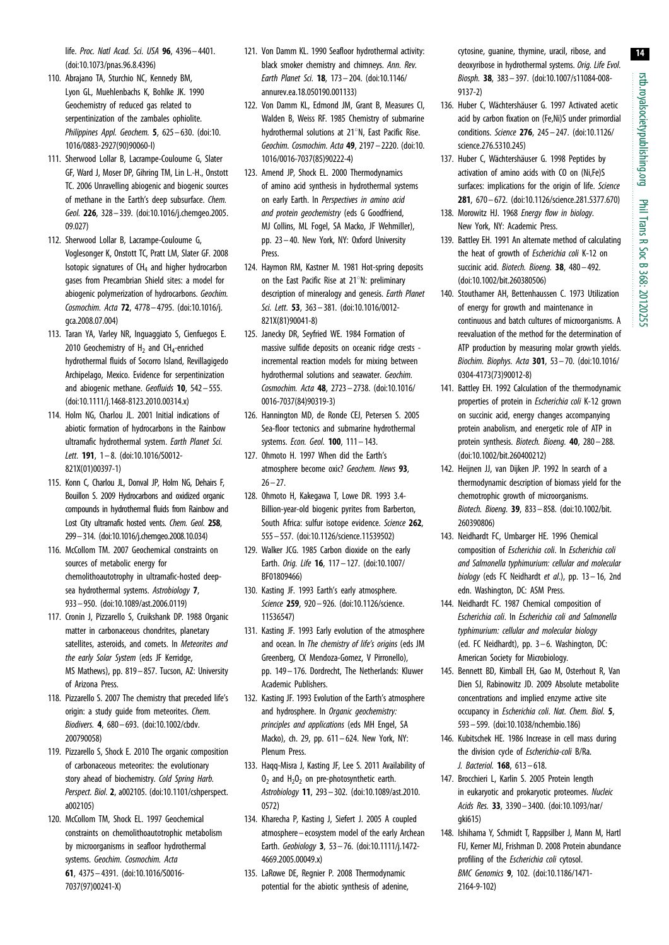<span id="page-13-0"></span>life. Proc. Natl Acad. Sci. USA 96, 4396-4401. [\(doi:10.1073/pnas.96.8.4396](http://dx.doi.org/10.1073/pnas.96.8.4396))

- 110. Abrajano TA, Sturchio NC, Kennedy BM, Lyon GL, Muehlenbachs K, Bohlke JK. 1990 Geochemistry of reduced gas related to serpentinization of the zambales ophiolite. Philippines Appl. Geochem. **5**, 625–630. ([doi:10.](http://dx.doi.org/10.1016/0883-2927(90)90060-I) [1016/0883-2927\(90\)90060-I\)](http://dx.doi.org/10.1016/0883-2927(90)90060-I)
- 111. Sherwood Lollar B, Lacrampe-Couloume G, Slater GF, Ward J, Moser DP, Gihring TM, Lin L.-H., Onstott TC. 2006 Unravelling abiogenic and biogenic sources of methane in the Earth's deep subsurface. Chem. Geol. 226, 328– 339. [\(doi:10.1016/j.chemgeo.2005.](http://dx.doi.org/10.1016/j.chemgeo.2005.09.027) [09.027\)](http://dx.doi.org/10.1016/j.chemgeo.2005.09.027)
- 112. Sherwood Lollar B, Lacrampe-Couloume G, Voglesonger K, Onstott TC, Pratt LM, Slater GF. 2008 Isotopic signatures of  $CH<sub>4</sub>$  and higher hydrocarbon gases from Precambrian Shield sites: a model for abiogenic polymerization of hydrocarbons. Geochim. Cosmochim. Acta 72, 4778– 4795. [\(doi:10.1016/j.](http://dx.doi.org/10.1016/j.gca.2008.07.004) [gca.2008.07.004\)](http://dx.doi.org/10.1016/j.gca.2008.07.004)
- 113. Taran YA, Varley NR, Inguaggiato S, Cienfuegos E. 2010 Geochemistry of  $H_2$  and CH<sub>4</sub>-enriched hydrothermal fluids of Socorro Island, Revillagigedo Archipelago, Mexico. Evidence for serpentinization and abiogenic methane. Geofluids 10, 542 - 555. [\(doi:10.1111/j.1468-8123.2010.00314.x](http://dx.doi.org/10.1111/j.1468-8123.2010.00314.x))
- 114. Holm NG, Charlou JL. 2001 Initial indications of abiotic formation of hydrocarbons in the Rainbow ultramafic hydrothermal system. Earth Planet Sci. Lett. 191, 1-8. ([doi:10.1016/S0012-](http://dx.doi.org/10.1016/S0012-821X(01)00397-1) [821X\(01\)00397-1\)](http://dx.doi.org/10.1016/S0012-821X(01)00397-1)
- 115. Konn C, Charlou JL, Donval JP, Holm NG, Dehairs F, Bouillon S. 2009 Hydrocarbons and oxidized organic compounds in hydrothermal fluids from Rainbow and Lost City ultramafic hosted vents. Chem. Geol. 258, 299–314. [\(doi:10.1016/j.chemgeo.2008.10.034\)](http://dx.doi.org/10.1016/j.chemgeo.2008.10.034)
- 116. McCollom TM. 2007 Geochemical constraints on sources of metabolic energy for chemolithoautotrophy in ultramafic-hosted deepsea hydrothermal systems. Astrobiology 7. 933– 950. ([doi:10.1089/ast.2006.0119](http://dx.doi.org/10.1089/ast.2006.0119))
- 117. Cronin J, Pizzarello S, Cruikshank DP. 1988 Organic matter in carbonaceous chondrites, planetary satellites, asteroids, and comets. In Meteorites and the early Solar System (eds JF Kerridge, MS Mathews), pp. 819– 857. Tucson, AZ: University of Arizona Press.
- 118. Pizzarello S. 2007 The chemistry that preceded life's origin: a study quide from meteorites. Chem. Biodivers. 4, 680– 693. ([doi:10.1002/cbdv.](http://dx.doi.org/10.1002/cbdv.200790058) [200790058](http://dx.doi.org/10.1002/cbdv.200790058))
- 119. Pizzarello S, Shock E. 2010 The organic composition of carbonaceous meteorites: the evolutionary story ahead of biochemistry. Cold Spring Harb. Perspect. Biol. 2, a002105. [\(doi:10.1101/cshperspect.](http://dx.doi.org/10.1101/cshperspect.a002105) [a002105\)](http://dx.doi.org/10.1101/cshperspect.a002105)
- 120. McCollom TM, Shock EL. 1997 Geochemical constraints on chemolithoautotrophic metabolism by microorganisms in seafloor hydrothermal systems. Geochim. Cosmochim. Acta 61, 4375– 4391. [\(doi:10.1016/S0016-](http://dx.doi.org/10.1016/S0016-7037(97)00241-X) [7037\(97\)00241-X\)](http://dx.doi.org/10.1016/S0016-7037(97)00241-X)
- 121. Von Damm KL. 1990 Seafloor hydrothermal activity: black smoker chemistry and chimneys. Ann. Rev. Earth Planet Sci. 18, 173– 204. ([doi:10.1146/](http://dx.doi.org/10.1146/annurev.ea.18.050190.001133) [annurev.ea.18.050190.001133](http://dx.doi.org/10.1146/annurev.ea.18.050190.001133))
- 122. Von Damm KL, Edmond JM, Grant B, Measures CI, Walden B, Weiss RF. 1985 Chemistry of submarine hydrothermal solutions at 21°N, East Pacific Rise. Geochim. Cosmochim. Acta 49, 2197– 2220. [\(doi:10.](http://dx.doi.org/10.1016/0016-7037(85)90222-4) [1016/0016-7037\(85\)90222-4](http://dx.doi.org/10.1016/0016-7037(85)90222-4))
- 123. Amend JP, Shock EL. 2000 Thermodynamics of amino acid synthesis in hydrothermal systems on early Earth. In Perspectives in amino acid and protein geochemistry (eds G Goodfriend, MJ Collins, ML Fogel, SA Macko, JF Wehmiller), pp. 23– 40. New York, NY: Oxford University Press.
- 124. Haymon RM, Kastner M. 1981 Hot-spring deposits on the East Pacific Rise at  $21^\circ$ N: preliminary description of mineralogy and genesis. Earth Planet Sci. Lett. 53, 363-381. [\(doi:10.1016/0012-](http://dx.doi.org/10.1016/0012-821X(81)90041-8) [821X\(81\)90041-8](http://dx.doi.org/10.1016/0012-821X(81)90041-8))
- 125. Janecky DR, Seyfried WE. 1984 Formation of massive sulfide deposits on oceanic ridge crests incremental reaction models for mixing between hydrothermal solutions and seawater. Geochim. Cosmochim. Acta 48, 2723– 2738. ([doi:10.1016/](http://dx.doi.org/10.1016/0016-7037(84)90319-3) [0016-7037\(84\)90319-3](http://dx.doi.org/10.1016/0016-7037(84)90319-3))
- 126. Hannington MD, de Ronde CEJ, Petersen S. 2005 Sea-floor tectonics and submarine hydrothermal systems. Econ. Geol. **100**, 111-143.
- 127. Ohmoto H. 1997 When did the Earth's atmosphere become oxic? Geochem. News 93,  $26 - 27$
- 128. Ohmoto H, Kakegawa T, Lowe DR. 1993 3.4- Billion-year-old biogenic pyrites from Barberton, South Africa: sulfur isotope evidence. Science 262, 555 – 557. [\(doi:10.1126/science.11539502\)](http://dx.doi.org/10.1126/science.11539502)
- 129. Walker JCG. 1985 Carbon dioxide on the early Earth. Orig. Life 16, 117 – 127. ([doi:10.1007/](http://dx.doi.org/10.1007/BF01809466) [BF01809466\)](http://dx.doi.org/10.1007/BF01809466)
- 130. Kasting JF. 1993 Earth's early atmosphere. Science 259, 920-926. [\(doi:10.1126/science.](http://dx.doi.org/10.1126/science.11536547) [11536547\)](http://dx.doi.org/10.1126/science.11536547)
- 131. Kasting JF. 1993 Early evolution of the atmosphere and ocean. In The chemistry of life's origins (eds JM Greenberg, CX Mendoza-Gomez, V Pirronello), pp. 149– 176. Dordrecht, The Netherlands: Kluwer Academic Publishers.
- 132. Kasting JF. 1993 Evolution of the Earth's atmosphere and hydrosphere. In Organic geochemistry: principles and applications (eds MH Engel, SA Macko), ch. 29, pp. 611– 624. New York, NY: Plenum Press.
- 133. Haqq-Misra J, Kasting JF, Lee S. 2011 Availability of  $0<sub>2</sub>$  and  $H<sub>2</sub>0<sub>2</sub>$  on pre-photosynthetic earth. Astrobiology 11, 293 – 302. ([doi:10.1089/ast.2010.](http://dx.doi.org/10.1089/ast.2010.0572) [0572](http://dx.doi.org/10.1089/ast.2010.0572))
- 134. Kharecha P, Kasting J, Siefert J. 2005 A coupled atmosphere– ecosystem model of the early Archean Earth. Geobiology 3, 53 – 76. ([doi:10.1111/j.1472-](http://dx.doi.org/10.1111/j.1472-4669.2005.00049.x) [4669.2005.00049.x\)](http://dx.doi.org/10.1111/j.1472-4669.2005.00049.x)
- 135. LaRowe DE, Regnier P. 2008 Thermodynamic potential for the abiotic synthesis of adenine,

cytosine, guanine, thymine, uracil, ribose, and deoxyribose in hydrothermal systems. Orig. Life Evol. Biosph. 38, 383– 397. ([doi:10.1007/s11084-008-](http://dx.doi.org/10.1007/s11084-008-9137-2) [9137-2](http://dx.doi.org/10.1007/s11084-008-9137-2))

- 136. Huber C, Wächtershäuser G. 1997 Activated acetic acid by carbon fixation on (Fe,Ni)S under primordial conditions. Science 276, 245 – 247. ([doi:10.1126/](http://dx.doi.org/10.1126/science.276.5310.245) [science.276.5310.245\)](http://dx.doi.org/10.1126/science.276.5310.245)
- 137. Huber C, Wächtershäuser G. 1998 Peptides by activation of amino acids with CO on (Ni,Fe)S surfaces: implications for the origin of life. Science 281, 670– 672. [\(doi:10.1126/science.281.5377.670\)](http://dx.doi.org/10.1126/science.281.5377.670)
- 138. Morowitz HJ. 1968 Energy flow in biology. New York, NY: Academic Press.
- 139. Battley EH. 1991 An alternate method of calculating the heat of growth of Escherichia coli K-12 on succinic acid. Biotech. Bioeng. 38, 480-492. ([doi:10.1002/bit.260380506\)](http://dx.doi.org/10.1002/bit.260380506)
- 140. Stouthamer AH, Bettenhaussen C. 1973 Utilization of energy for growth and maintenance in continuous and batch cultures of microorganisms. A reevaluation of the method for the determination of ATP production by measuring molar growth yields. Biochim. Biophys. Acta 301, 53 – 70. ([doi:10.1016/](http://dx.doi.org/10.1016/0304-4173(73)90012-8) [0304-4173\(73\)90012-8](http://dx.doi.org/10.1016/0304-4173(73)90012-8))
- 141. Battley EH. 1992 Calculation of the thermodynamic properties of protein in Escherichia coli K-12 grown on succinic acid, energy changes accompanying protein anabolism, and energetic role of ATP in protein synthesis. Biotech. Bioeng. 40, 280 – 288. ([doi:10.1002/bit.260400212\)](http://dx.doi.org/10.1002/bit.260400212)
- 142. Heijnen JJ, van Dijken JP. 1992 In search of a thermodynamic description of biomass yield for the chemotrophic growth of microorganisms. Biotech. Bioeng. 39, 833– 858. ([doi:10.1002/bit.](http://dx.doi.org/10.1002/bit.260390806) [260390806](http://dx.doi.org/10.1002/bit.260390806))
- 143. Neidhardt FC, Umbarger HE. 1996 Chemical composition of Escherichia coli. In Escherichia coli and Salmonella typhimurium: cellular and molecular biology (eds FC Neidhardt et al.), pp. 13-16, 2nd edn. Washington, DC: ASM Press.
- 144. Neidhardt FC. 1987 Chemical composition of Escherichia coli. In Escherichia coli and Salmonella typhimurium: cellular and molecular biology (ed. FC Neidhardt), pp. 3-6. Washington, DC: American Society for Microbiology.
- 145. Bennett BD, Kimball EH, Gao M, Osterhout R, Van Dien SJ, Rabinowitz JD. 2009 Absolute metabolite concentrations and implied enzyme active site occupancy in Escherichia coli. Nat. Chem. Biol. 5, 593– 599. [\(doi:10.1038/nchembio.186\)](http://dx.doi.org/10.1038/nchembio.186)
- 146. Kubitschek HE. 1986 Increase in cell mass during the division cycle of Escherichia-coli B/Ra. J. Bacteriol. 168, 613 – 618.
- 147. Brocchieri L, Karlin S. 2005 Protein length in eukaryotic and prokaryotic proteomes. Nucleic Acids Res. 33, 3390– 3400. [\(doi:10.1093/nar/](http://dx.doi.org/10.1093/nar/gki615) [gki615](http://dx.doi.org/10.1093/nar/gki615))
- 148. Ishihama Y, Schmidt T, Rappsilber J, Mann M, Hartl FU, Kerner MJ, Frishman D. 2008 Protein abundance profiling of the Escherichia coli cytosol. BMC Genomics 9, 102. ([doi:10.1186/1471-](http://dx.doi.org/10.1186/1471-2164-9-102) [2164-9-102\)](http://dx.doi.org/10.1186/1471-2164-9-102)